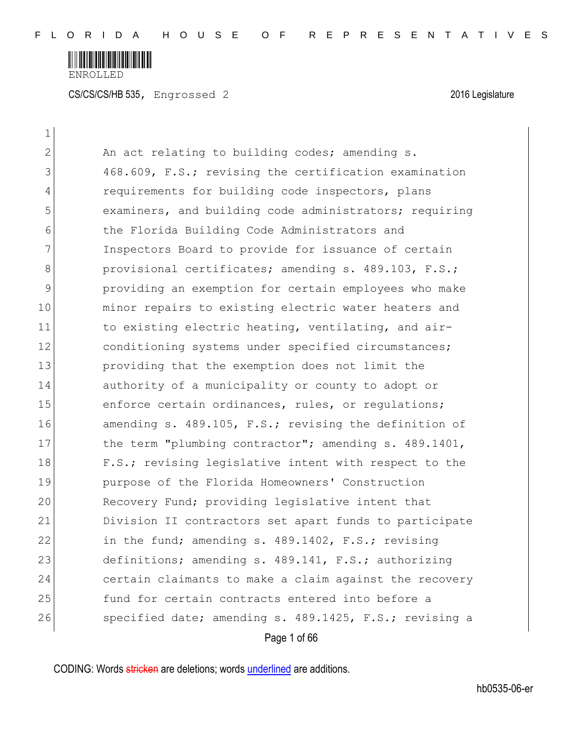

 $\mathbf{1}$ 

| 2             | An act relating to building codes; amending s.         |
|---------------|--------------------------------------------------------|
| 3             | 468.609, F.S.; revising the certification examination  |
| 4             | requirements for building code inspectors, plans       |
| 5             | examiners, and building code administrators; requiring |
| 6             | the Florida Building Code Administrators and           |
| 7             | Inspectors Board to provide for issuance of certain    |
| 8             | provisional certificates; amending s. 489.103, F.S.;   |
| $\mathcal{G}$ | providing an exemption for certain employees who make  |
| 10            | minor repairs to existing electric water heaters and   |
| 11            | to existing electric heating, ventilating, and air-    |
| 12            | conditioning systems under specified circumstances;    |
| 13            | providing that the exemption does not limit the        |
| 14            | authority of a municipality or county to adopt or      |
| 15            | enforce certain ordinances, rules, or regulations;     |
| 16            | amending s. 489.105, F.S.; revising the definition of  |
| 17            | the term "plumbing contractor"; amending s. 489.1401,  |
| 18            | F.S.; revising legislative intent with respect to the  |
| 19            | purpose of the Florida Homeowners' Construction        |
| 20            | Recovery Fund; providing legislative intent that       |
| 21            | Division II contractors set apart funds to participate |
| 22            | in the fund; amending s. 489.1402, F.S.; revising      |
| 23            | definitions; amending s. 489.141, F.S.; authorizing    |
| 24            | certain claimants to make a claim against the recovery |
| 25            | fund for certain contracts entered into before a       |
| 26            | specified date; amending s. 489.1425, F.S.; revising a |
|               | Page 1 of 66                                           |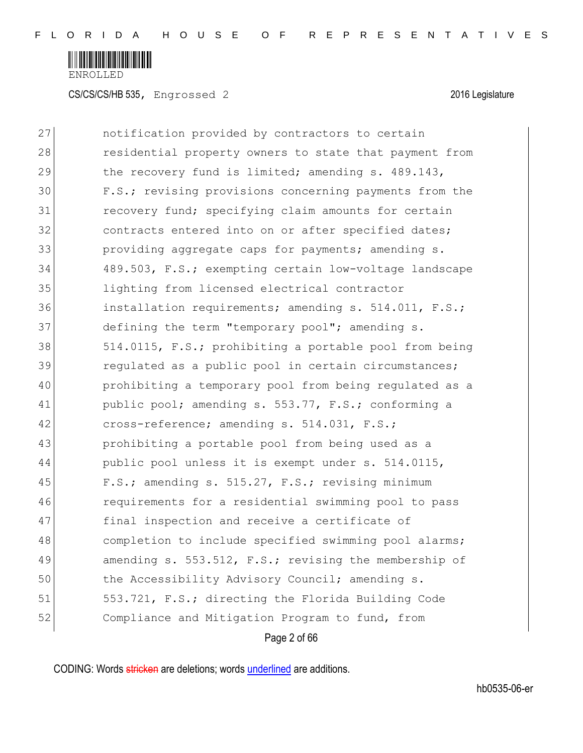

CS/CS/CS/HB 535, Engrossed 2 2016 Legislature

| 27 | notification provided by contractors to certain        |
|----|--------------------------------------------------------|
| 28 | residential property owners to state that payment from |
| 29 | the recovery fund is limited; amending s. 489.143,     |
| 30 | F.S.; revising provisions concerning payments from the |
| 31 | recovery fund; specifying claim amounts for certain    |
| 32 | contracts entered into on or after specified dates;    |
| 33 | providing aggregate caps for payments; amending s.     |
| 34 | 489.503, F.S.; exempting certain low-voltage landscape |
| 35 | lighting from licensed electrical contractor           |
| 36 | installation requirements; amending s. 514.011, F.S.;  |
| 37 | defining the term "temporary pool"; amending s.        |
| 38 | 514.0115, F.S.; prohibiting a portable pool from being |
| 39 | regulated as a public pool in certain circumstances;   |
| 40 | prohibiting a temporary pool from being regulated as a |
| 41 | public pool; amending s. 553.77, F.S.; conforming a    |
| 42 | cross-reference; amending s. 514.031, F.S.;            |
| 43 | prohibiting a portable pool from being used as a       |
| 44 | public pool unless it is exempt under s. 514.0115,     |
| 45 | F.S.; amending s. 515.27, F.S.; revising minimum       |
| 46 | requirements for a residential swimming pool to pass   |
| 47 | final inspection and receive a certificate of          |
| 48 | completion to include specified swimming pool alarms;  |
| 49 | amending s. 553.512, F.S.; revising the membership of  |
| 50 | the Accessibility Advisory Council; amending s.        |
| 51 | 553.721, F.S.; directing the Florida Building Code     |
| 52 | Compliance and Mitigation Program to fund, from        |
|    | Page 2 of 66                                           |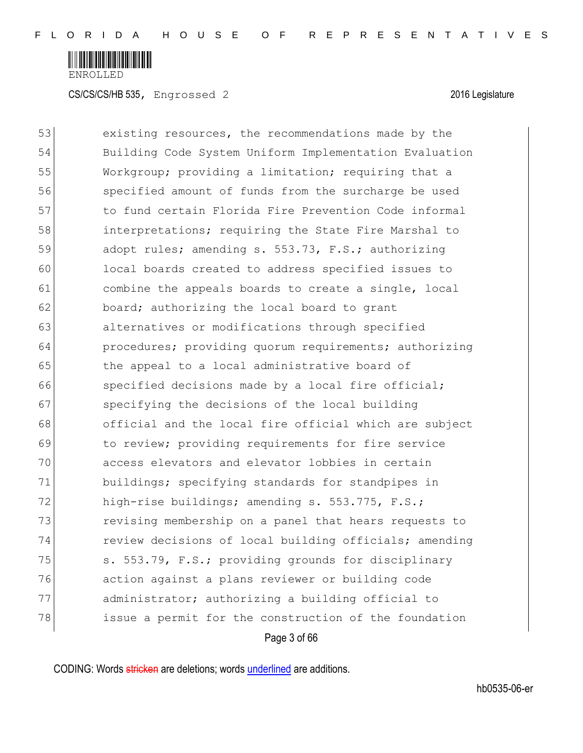

Page 3 of 66 53 existing resources, the recommendations made by the 54 Building Code System Uniform Implementation Evaluation 55 Workgroup; providing a limitation; requiring that a 56 specified amount of funds from the surcharge be used 57 to fund certain Florida Fire Prevention Code informal 58 interpretations; requiring the State Fire Marshal to 59 adopt rules; amending s. 553.73, F.S.; authorizing 60 local boards created to address specified issues to 61 61 combine the appeals boards to create a single, local 62 board; authorizing the local board to grant 63 alternatives or modifications through specified 64 **procedures;** providing quorum requirements; authorizing 65 the appeal to a local administrative board of 66 specified decisions made by a local fire official; 67 specifying the decisions of the local building 68 official and the local fire official which are subject 69 to review; providing requirements for fire service 70 access elevators and elevator lobbies in certain 71 buildings; specifying standards for standpipes in 72 high-rise buildings; amending s. 553.775, F.S.; 73 revising membership on a panel that hears requests to 74 review decisions of local building officials; amending 75 S. 553.79, F.S.; providing grounds for disciplinary 76 action against a plans reviewer or building code 77 administrator; authorizing a building official to 78 issue a permit for the construction of the foundation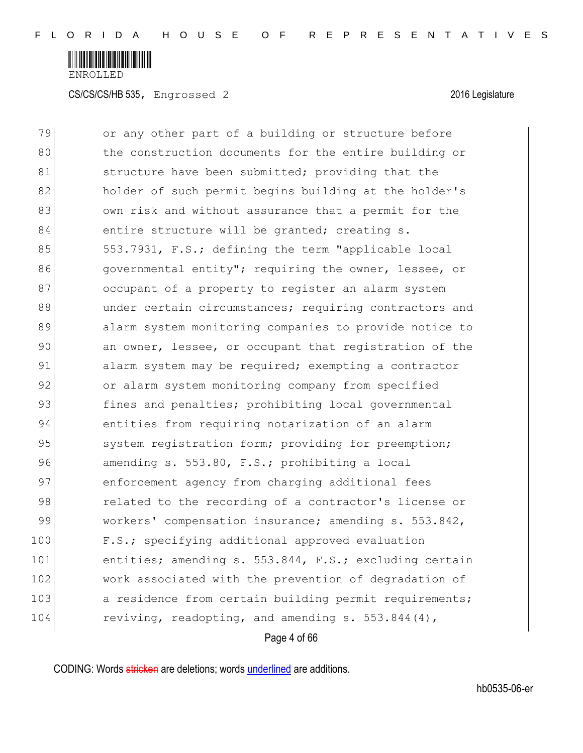

79 or any other part of a building or structure before 80 the construction documents for the entire building or 81 structure have been submitted; providing that the 82 holder of such permit begins building at the holder's 83 681 681 own risk and without assurance that a permit for the 84 entire structure will be granted; creating s. 85 553.7931, F.S.; defining the term "applicable local 86 governmental entity"; requiring the owner, lessee, or 87 occupant of a property to register an alarm system 88 and under certain circumstances; requiring contractors and 89 alarm system monitoring companies to provide notice to 90 an owner, lessee, or occupant that registration of the 91 alarm system may be required; exempting a contractor 92 or alarm system monitoring company from specified 93 fines and penalties; prohibiting local governmental 94 entities from requiring notarization of an alarm 95 system registration form; providing for preemption; 96 amending s. 553.80, F.S.; prohibiting a local 97 enforcement agency from charging additional fees 98 related to the recording of a contractor's license or 99 workers' compensation insurance; amending s. 553.842, 100 F.S.; specifying additional approved evaluation 101 entities; amending s. 553.844, F.S.; excluding certain 102 work associated with the prevention of degradation of 103 a residence from certain building permit requirements; 104 reviving, readopting, and amending s. 553.844(4),

Page 4 of 66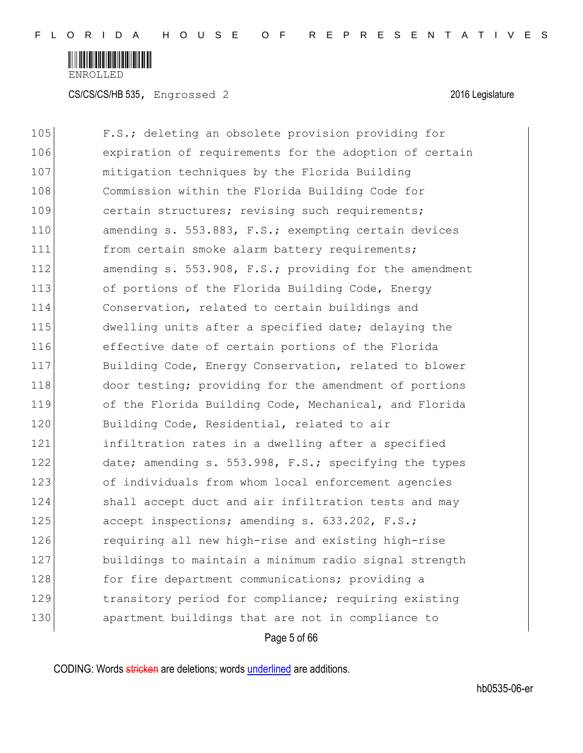

CS/CS/CS/HB 535, Engrossed 2 2016 Legislature

Page 5 of 66 105 F.S.; deleting an obsolete provision providing for 106 expiration of requirements for the adoption of certain 107 mitigation techniques by the Florida Building 108 Commission within the Florida Building Code for 109 certain structures; revising such requirements; 110 amending s. 553.883, F.S.; exempting certain devices 111 from certain smoke alarm battery requirements; 112 amending s. 553.908, F.S.; providing for the amendment 113 of portions of the Florida Building Code, Energy 114 Conservation, related to certain buildings and 115 dwelling units after a specified date; delaying the 116 effective date of certain portions of the Florida 117 Building Code, Energy Conservation, related to blower 118 door testing; providing for the amendment of portions 119 of the Florida Building Code, Mechanical, and Florida 120 Building Code, Residential, related to air 121 infiltration rates in a dwelling after a specified 122 date; amending s. 553.998, F.S.; specifying the types 123 of individuals from whom local enforcement agencies 124 Shall accept duct and air infiltration tests and may 125 accept inspections; amending s. 633.202, F.S.; 126 requiring all new high-rise and existing high-rise 127 buildings to maintain a minimum radio signal strength 128 for fire department communications; providing a 129 transitory period for compliance; requiring existing 130 apartment buildings that are not in compliance to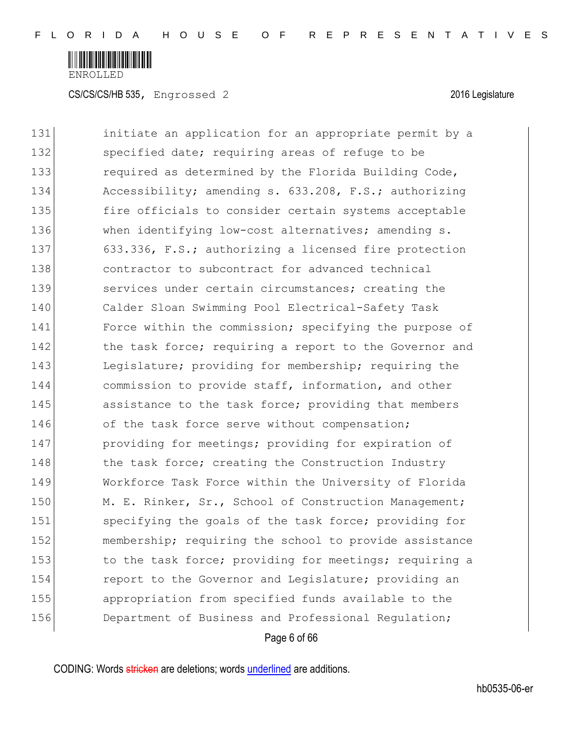

CS/CS/CS/HB 535, Engrossed 2 2016 Legislature

131 initiate an application for an appropriate permit by a 132 specified date; requiring areas of refuge to be 133 required as determined by the Florida Building Code, 134 Accessibility; amending s. 633.208, F.S.; authorizing 135 fire officials to consider certain systems acceptable 136 When identifying low-cost alternatives; amending s. 137 633.336, F.S.; authorizing a licensed fire protection 138 contractor to subcontract for advanced technical 139 services under certain circumstances; creating the 140 Calder Sloan Swimming Pool Electrical-Safety Task 141 Force within the commission; specifying the purpose of 142 the task force; requiring a report to the Governor and 143 Legislature; providing for membership; requiring the 144 commission to provide staff, information, and other 145 assistance to the task force; providing that members 146 of the task force serve without compensation; 147 **providing for meetings; providing for expiration of** 148 the task force; creating the Construction Industry 149 Workforce Task Force within the University of Florida 150 M. E. Rinker, Sr., School of Construction Management; 151 specifying the goals of the task force; providing for 152 membership; requiring the school to provide assistance 153 to the task force; providing for meetings; requiring a 154 **report to the Governor and Legislature;** providing an 155 appropriation from specified funds available to the 156 Department of Business and Professional Requlation;

Page 6 of 66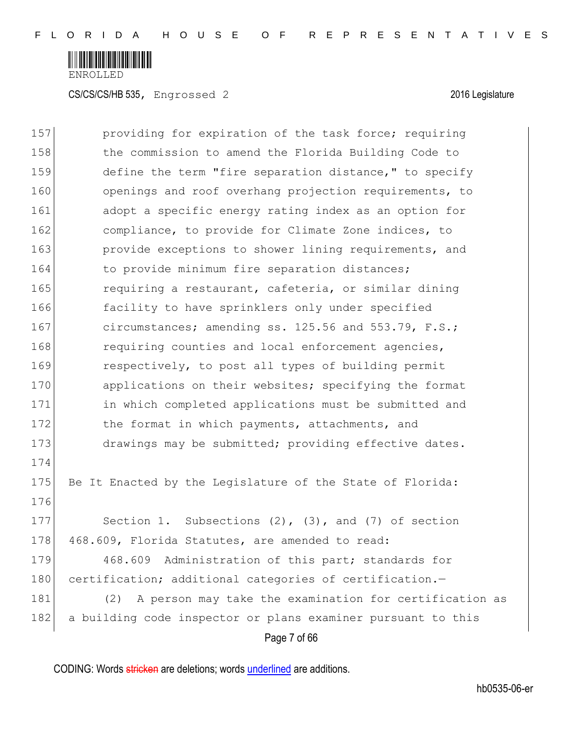

| 157 | providing for expiration of the task force; requiring         |
|-----|---------------------------------------------------------------|
| 158 | the commission to amend the Florida Building Code to          |
| 159 | define the term "fire separation distance," to specify        |
| 160 | openings and roof overhang projection requirements, to        |
| 161 | adopt a specific energy rating index as an option for         |
| 162 | compliance, to provide for Climate Zone indices, to           |
| 163 | provide exceptions to shower lining requirements, and         |
| 164 | to provide minimum fire separation distances;                 |
| 165 | requiring a restaurant, cafeteria, or similar dining          |
| 166 | facility to have sprinklers only under specified              |
| 167 | circumstances; amending ss. 125.56 and 553.79, F.S.;          |
| 168 | requiring counties and local enforcement agencies,            |
| 169 | respectively, to post all types of building permit            |
| 170 | applications on their websites; specifying the format         |
| 171 | in which completed applications must be submitted and         |
| 172 | the format in which payments, attachments, and                |
| 173 | drawings may be submitted; providing effective dates.         |
| 174 |                                                               |
| 175 | Be It Enacted by the Legislature of the State of Florida:     |
| 176 |                                                               |
| 177 | Section 1. Subsections $(2)$ , $(3)$ , and $(7)$ of section   |
| 178 | 468.609, Florida Statutes, are amended to read:               |
| 179 | 468.609<br>Administration of this part; standards for         |
| 180 | certification; additional categories of certification.-       |
| 181 | A person may take the examination for certification as<br>(2) |
| 182 | a building code inspector or plans examiner pursuant to this  |
|     | Page 7 of 66                                                  |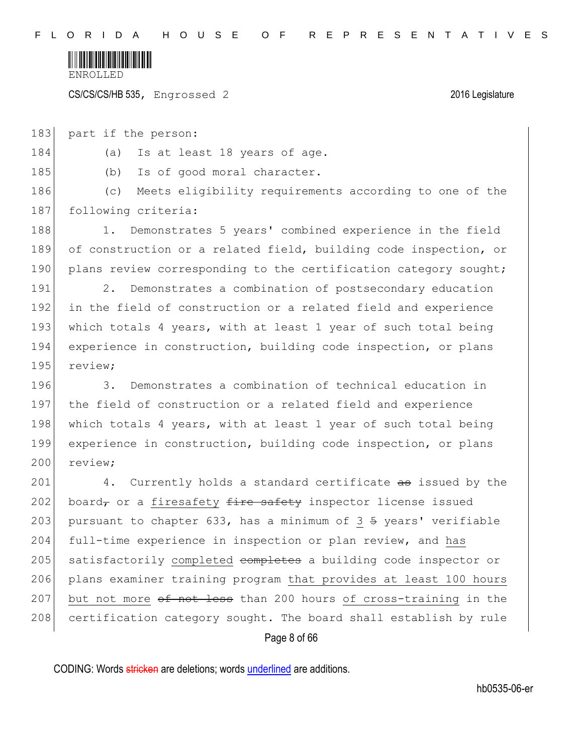

CS/CS/CS/HB 535, Engrossed 2 2016 Legislature

183 part if the person:

184 (a) Is at least 18 years of age.

185 (b) Is of good moral character.

186 (c) Meets eligibility requirements according to one of the 187 following criteria:

188 1. Demonstrates 5 years' combined experience in the field 189 of construction or a related field, building code inspection, or 190 plans review corresponding to the certification category sought;

191 2. Demonstrates a combination of postsecondary education 192 in the field of construction or a related field and experience 193 which totals 4 years, with at least 1 year of such total being 194 experience in construction, building code inspection, or plans 195 review;

196 3. Demonstrates a combination of technical education in 197 the field of construction or a related field and experience 198 which totals 4 years, with at least 1 year of such total being 199 experience in construction, building code inspection, or plans 200 review:

201 4. Currently holds a standard certificate as issued by the 202 board, or a firesafety  $f$ ire safety inspector license issued 203 pursuant to chapter 633, has a minimum of  $3 \frac{1}{2}$  years' verifiable 204 full-time experience in inspection or plan review, and has 205 | satisfactorily completed completes a building code inspector or 206 plans examiner training program that provides at least 100 hours 207 but not more  $\theta$  not less than 200 hours of cross-training in the 208 certification category sought. The board shall establish by rule

Page 8 of 66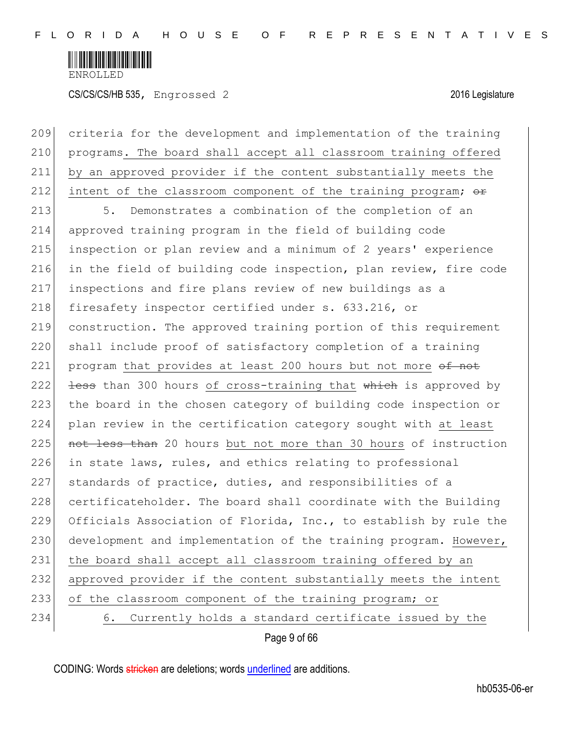

CS/CS/CS/HB 535, Engrossed 2 2016 Legislature

Page 9 of 66 209 criteria for the development and implementation of the training 210 programs. The board shall accept all classroom training offered 211 by an approved provider if the content substantially meets the 212 intent of the classroom component of the training program;  $\theta$ 213 5. Demonstrates a combination of the completion of an 214 approved training program in the field of building code 215 inspection or plan review and a minimum of 2 years' experience 216 in the field of building code inspection, plan review, fire code 217 inspections and fire plans review of new buildings as a 218 firesafety inspector certified under s. 633.216, or 219 construction. The approved training portion of this requirement 220 shall include proof of satisfactory completion of a training 221 program that provides at least 200 hours but not more of not 222  $\left| \right|$  less than 300 hours of cross-training that which is approved by 223 the board in the chosen category of building code inspection or 224 plan review in the certification category sought with at least 225 not less than 20 hours but not more than 30 hours of instruction 226 in state laws, rules, and ethics relating to professional 227 standards of practice, duties, and responsibilities of a 228 certificateholder. The board shall coordinate with the Building 229 Officials Association of Florida, Inc., to establish by rule the 230 development and implementation of the training program. However, 231 the board shall accept all classroom training offered by an 232 approved provider if the content substantially meets the intent 233 of the classroom component of the training program; or 234 6. Currently holds a standard certificate issued by the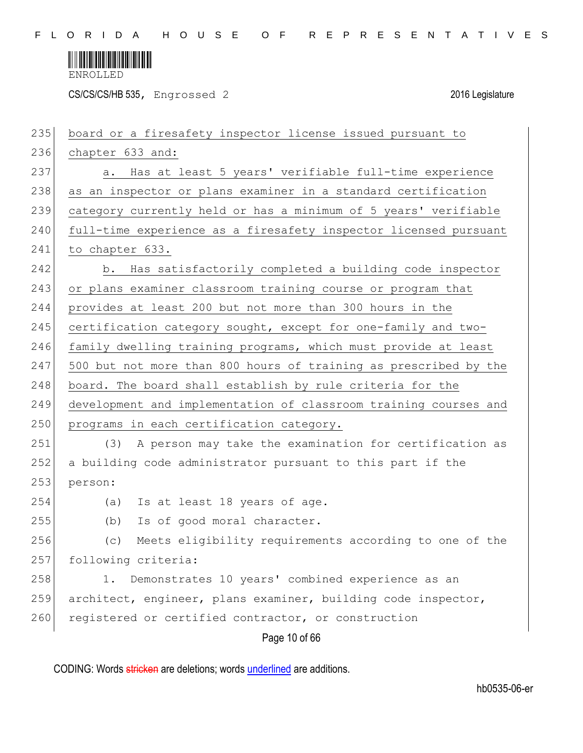

CS/CS/CS/HB 535, Engrossed 2 2016 Legislature

| 235 | board or a firesafety inspector license issued pursuant to       |
|-----|------------------------------------------------------------------|
| 236 | chapter 633 and:                                                 |
| 237 | Has at least 5 years' verifiable full-time experience<br>а.      |
| 238 | as an inspector or plans examiner in a standard certification    |
| 239 | category currently held or has a minimum of 5 years' verifiable  |
| 240 | full-time experience as a firesafety inspector licensed pursuant |
| 241 | to chapter 633.                                                  |
| 242 | Has satisfactorily completed a building code inspector<br>b.     |
| 243 | or plans examiner classroom training course or program that      |
| 244 | provides at least 200 but not more than 300 hours in the         |
| 245 | certification category sought, except for one-family and two-    |
| 246 | family dwelling training programs, which must provide at least   |
| 247 | 500 but not more than 800 hours of training as prescribed by the |
| 248 | board. The board shall establish by rule criteria for the        |
| 249 | development and implementation of classroom training courses and |
| 250 | programs in each certification category.                         |
| 251 | A person may take the examination for certification as<br>(3)    |
| 252 | a building code administrator pursuant to this part if the       |
| 253 | person:                                                          |
| 254 | Is at least 18 years of age.<br>(a)                              |
| 255 | Is of good moral character.<br>(b)                               |
| 256 | Meets eligibility requirements according to one of the<br>(C)    |
| 257 | following criteria:                                              |
| 258 | Demonstrates 10 years' combined experience as an<br>1.           |
| 259 | architect, engineer, plans examiner, building code inspector,    |
| 260 | registered or certified contractor, or construction              |
|     | Page 10 of 66                                                    |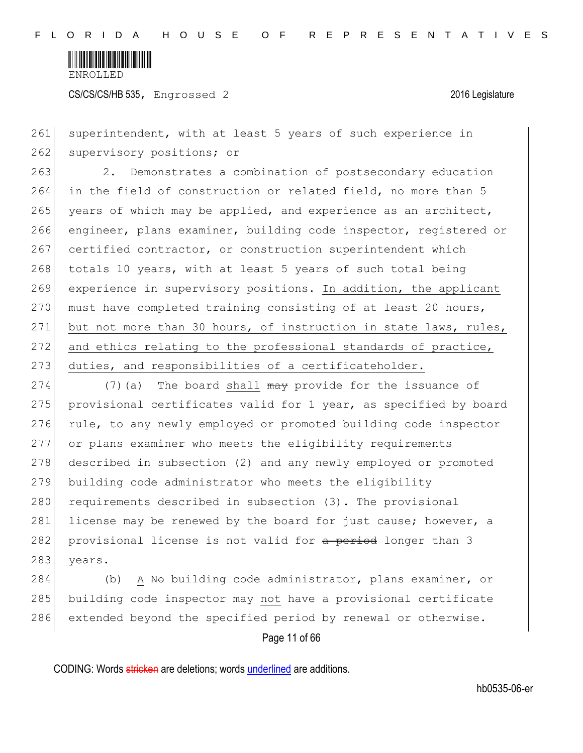

261 superintendent, with at least 5 years of such experience in 262 supervisory positions; or

263 2. Demonstrates a combination of postsecondary education 264 in the field of construction or related field, no more than 5 265 years of which may be applied, and experience as an architect, 266 engineer, plans examiner, building code inspector, registered or 267 certified contractor, or construction superintendent which 268 totals 10 years, with at least 5 years of such total being 269 experience in supervisory positions. In addition, the applicant 270 must have completed training consisting of at least 20 hours, 271 but not more than 30 hours, of instruction in state laws, rules, 272 and ethics relating to the professional standards of practice, 273 duties, and responsibilities of a certificateholder.

274  $(7)$  (a) The board shall  $\theta$  may provide for the issuance of 275 provisional certificates valid for 1 year, as specified by board 276 rule, to any newly employed or promoted building code inspector 277 or plans examiner who meets the eligibility requirements 278 described in subsection (2) and any newly employed or promoted 279 building code administrator who meets the eligibility 280 requirements described in subsection (3). The provisional 281 license may be renewed by the board for just cause; however, a 282 provisional license is not valid for a period longer than 3 283 years.

284 (b) A No building code administrator, plans examiner, or 285 building code inspector may not have a provisional certificate 286 extended beyond the specified period by renewal or otherwise.

Page 11 of 66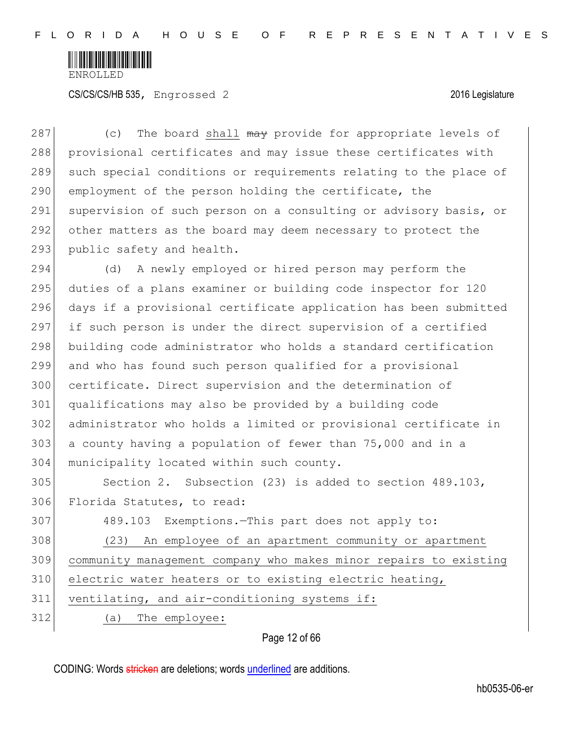

287 (c) The board shall may provide for appropriate levels of 288 provisional certificates and may issue these certificates with 289 such special conditions or requirements relating to the place of 290 employment of the person holding the certificate, the 291 supervision of such person on a consulting or advisory basis, or 292 other matters as the board may deem necessary to protect the 293 public safety and health.

294 (d) A newly employed or hired person may perform the duties of a plans examiner or building code inspector for 120 days if a provisional certificate application has been submitted if such person is under the direct supervision of a certified building code administrator who holds a standard certification and who has found such person qualified for a provisional certificate. Direct supervision and the determination of qualifications may also be provided by a building code administrator who holds a limited or provisional certificate in a county having a population of fewer than 75,000 and in a 304 municipality located within such county.

305 Section 2. Subsection (23) is added to section 489.103, 306 Florida Statutes, to read:

| 307 | 489.103 Exemptions.-This part does not apply to:                 |
|-----|------------------------------------------------------------------|
| 308 | An employee of an apartment community or apartment<br>(23)       |
| 309 | community management company who makes minor repairs to existing |
| 310 | electric water heaters or to existing electric heating,          |
| 311 | ventilating, and air-conditioning systems if:                    |
| 312 | The employee:<br>(a)                                             |

### Page 12 of 66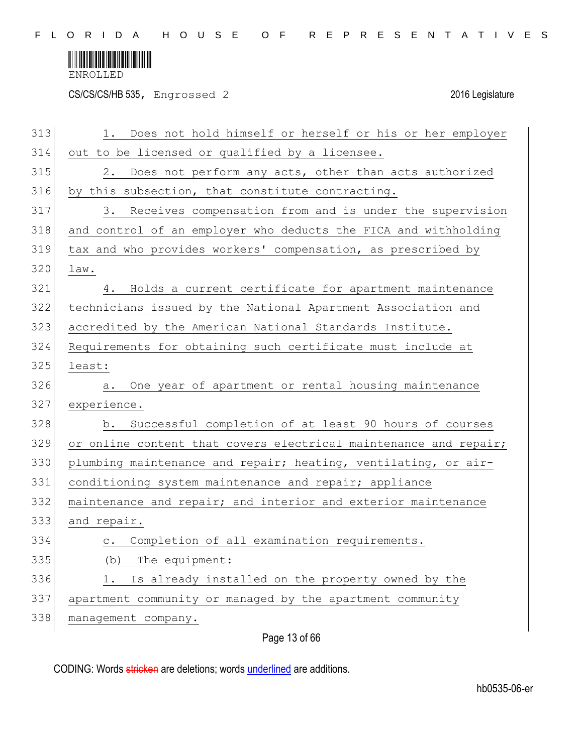

CS/CS/CS/HB 535, Engrossed 2 2016 Legislature

| 313 | Does not hold himself or herself or his or her employer<br>1.    |
|-----|------------------------------------------------------------------|
| 314 | out to be licensed or qualified by a licensee.                   |
| 315 | Does not perform any acts, other than acts authorized<br>2.      |
| 316 | by this subsection, that constitute contracting.                 |
| 317 | Receives compensation from and is under the supervision<br>3.    |
| 318 | and control of an employer who deducts the FICA and withholding  |
| 319 | tax and who provides workers' compensation, as prescribed by     |
| 320 | law.                                                             |
| 321 | Holds a current certificate for apartment maintenance<br>4.      |
| 322 | technicians issued by the National Apartment Association and     |
| 323 | accredited by the American National Standards Institute.         |
| 324 | Requirements for obtaining such certificate must include at      |
| 325 | least:                                                           |
| 326 | One year of apartment or rental housing maintenance<br>а.        |
| 327 | experience.                                                      |
| 328 | Successful completion of at least 90 hours of courses<br>b.      |
| 329 | or online content that covers electrical maintenance and repair; |
| 330 | plumbing maintenance and repair; heating, ventilating, or air-   |
| 331 | conditioning system maintenance and repair; appliance            |
| 332 | maintenance and repair; and interior and exterior maintenance    |
| 333 | and repair.                                                      |
| 334 | Completion of all examination requirements.<br>$\circ$ .         |
| 335 | The equipment:<br>(b)                                            |
| 336 | Is already installed on the property owned by the<br>1.          |
| 337 | apartment community or managed by the apartment community        |
| 338 | management company.                                              |
|     |                                                                  |

# Page 13 of 66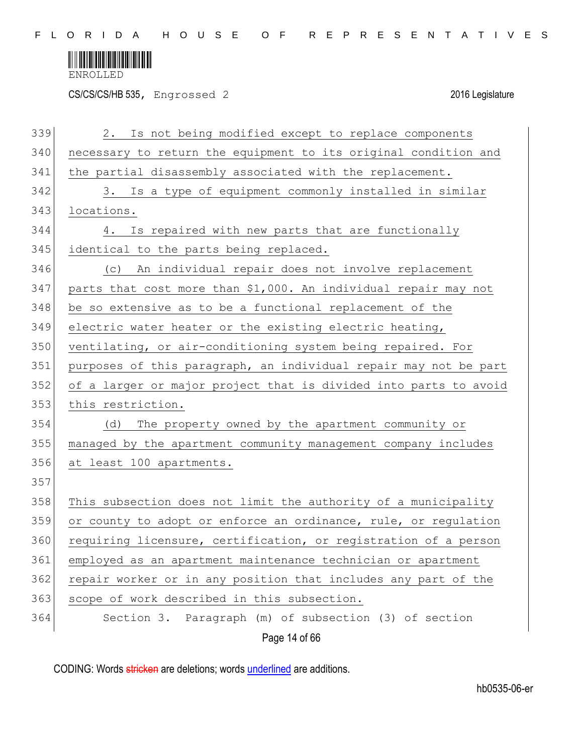

CS/CS/CS/HB 535, Engrossed 2 2016 Legislature

| 339 | Is not being modified except to replace components<br>2.         |
|-----|------------------------------------------------------------------|
| 340 | necessary to return the equipment to its original condition and  |
| 341 | the partial disassembly associated with the replacement.         |
| 342 | 3. Is a type of equipment commonly installed in similar          |
| 343 | locations.                                                       |
| 344 | Is repaired with new parts that are functionally<br>4.           |
| 345 | identical to the parts being replaced.                           |
| 346 | (c) An individual repair does not involve replacement            |
| 347 | parts that cost more than \$1,000. An individual repair may not  |
| 348 | be so extensive as to be a functional replacement of the         |
| 349 | electric water heater or the existing electric heating,          |
| 350 | ventilating, or air-conditioning system being repaired. For      |
| 351 | purposes of this paragraph, an individual repair may not be part |
| 352 | of a larger or major project that is divided into parts to avoid |
| 353 | this restriction.                                                |
| 354 | (d)<br>The property owned by the apartment community or          |
| 355 | managed by the apartment community management company includes   |
| 356 | at least 100 apartments.                                         |
| 357 |                                                                  |
| 358 | This subsection does not limit the authority of a municipality   |
| 359 | or county to adopt or enforce an ordinance, rule, or regulation  |
| 360 | requiring licensure, certification, or registration of a person  |
| 361 | employed as an apartment maintenance technician or apartment     |
| 362 | repair worker or in any position that includes any part of the   |
| 363 | scope of work described in this subsection.                      |
| 364 | Section 3. Paragraph (m) of subsection (3) of section            |
|     | Page 14 of 66                                                    |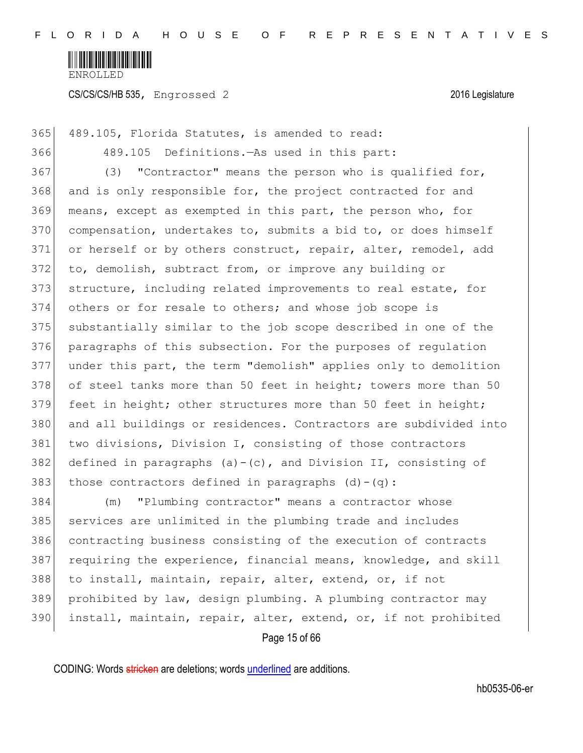

CS/CS/CS/HB 535, Engrossed 2 2016 Legislature

365 489.105, Florida Statutes, is amended to read: 366 489.105 Definitions.—As used in this part: 367 (3) "Contractor" means the person who is qualified for, 368 and is only responsible for, the project contracted for and 369 means, except as exempted in this part, the person who, for 370 compensation, undertakes to, submits a bid to, or does himself 371 or herself or by others construct, repair, alter, remodel, add 372 to, demolish, subtract from, or improve any building or 373 structure, including related improvements to real estate, for 374 others or for resale to others; and whose job scope is 375 substantially similar to the job scope described in one of the 376 paragraphs of this subsection. For the purposes of regulation 377 under this part, the term "demolish" applies only to demolition 378 of steel tanks more than 50 feet in height; towers more than 50 379 feet in height; other structures more than 50 feet in height; 380 and all buildings or residences. Contractors are subdivided into 381 two divisions, Division I, consisting of those contractors 382 defined in paragraphs (a)-(c), and Division II, consisting of 383 those contractors defined in paragraphs  $(d) - (q)$ : 384 (m) "Plumbing contractor" means a contractor whose

385 services are unlimited in the plumbing trade and includes 386 contracting business consisting of the execution of contracts 387 requiring the experience, financial means, knowledge, and skill 388 to install, maintain, repair, alter, extend, or, if not 389 prohibited by law, design plumbing. A plumbing contractor may 390 install, maintain, repair, alter, extend, or, if not prohibited

Page 15 of 66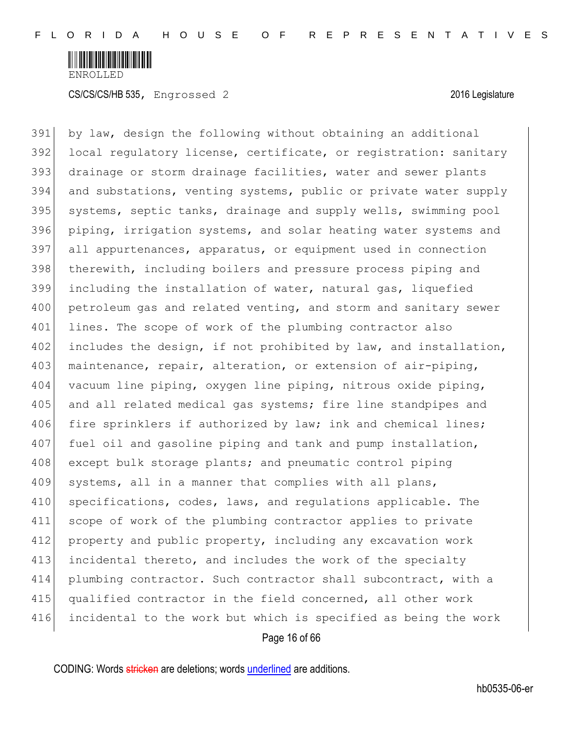

391 by law, design the following without obtaining an additional 392 local regulatory license, certificate, or registration: sanitary 393 drainage or storm drainage facilities, water and sewer plants 394 and substations, venting systems, public or private water supply 395 systems, septic tanks, drainage and supply wells, swimming pool 396 piping, irrigation systems, and solar heating water systems and 397 all appurtenances, apparatus, or equipment used in connection 398 therewith, including boilers and pressure process piping and 399 including the installation of water, natural gas, liquefied 400 petroleum gas and related venting, and storm and sanitary sewer 401 lines. The scope of work of the plumbing contractor also 402 includes the design, if not prohibited by law, and installation, 403 maintenance, repair, alteration, or extension of air-piping, 404 vacuum line piping, oxygen line piping, nitrous oxide piping, 405 and all related medical gas systems; fire line standpipes and 406 fire sprinklers if authorized by law; ink and chemical lines; 407 fuel oil and gasoline piping and tank and pump installation, 408 except bulk storage plants; and pneumatic control piping 409 systems, all in a manner that complies with all plans, 410 specifications, codes, laws, and regulations applicable. The 411 scope of work of the plumbing contractor applies to private 412 property and public property, including any excavation work 413 incidental thereto, and includes the work of the specialty 414 plumbing contractor. Such contractor shall subcontract, with a 415 qualified contractor in the field concerned, all other work 416 incidental to the work but which is specified as being the work

Page 16 of 66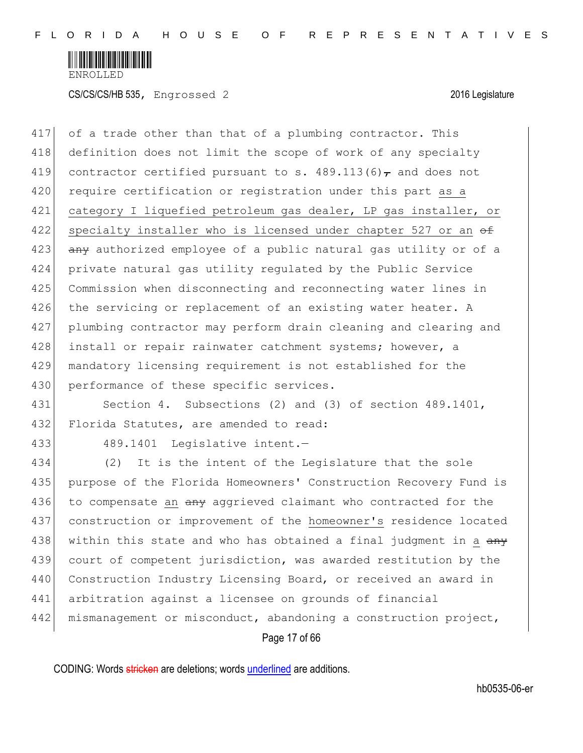

417 of a trade other than that of a plumbing contractor. This 418 definition does not limit the scope of work of any specialty 419 contractor certified pursuant to s.  $489.113(6)$ , and does not 420 require certification or registration under this part as a 421 category I liquefied petroleum gas dealer, LP gas installer, or 422 specialty installer who is licensed under chapter 527 or an  $\theta$ 423 any authorized employee of a public natural gas utility or of a 424 private natural gas utility regulated by the Public Service 425 Commission when disconnecting and reconnecting water lines in 426 the servicing or replacement of an existing water heater. A 427 plumbing contractor may perform drain cleaning and clearing and 428 install or repair rainwater catchment systems; however, a 429 mandatory licensing requirement is not established for the 430 performance of these specific services.

431 Section 4. Subsections (2) and (3) of section 489.1401, 432 Florida Statutes, are amended to read:

433 489.1401 Legislative intent.—

434 (2) It is the intent of the Legislature that the sole 435 purpose of the Florida Homeowners' Construction Recovery Fund is 436 to compensate an any aggrieved claimant who contracted for the 437 construction or improvement of the homeowner's residence located 438 within this state and who has obtained a final judgment in a  $\frac{1}{2}$ 439 court of competent jurisdiction, was awarded restitution by the 440 Construction Industry Licensing Board, or received an award in 441 arbitration against a licensee on grounds of financial 442 | mismanagement or misconduct, abandoning a construction project,

Page 17 of 66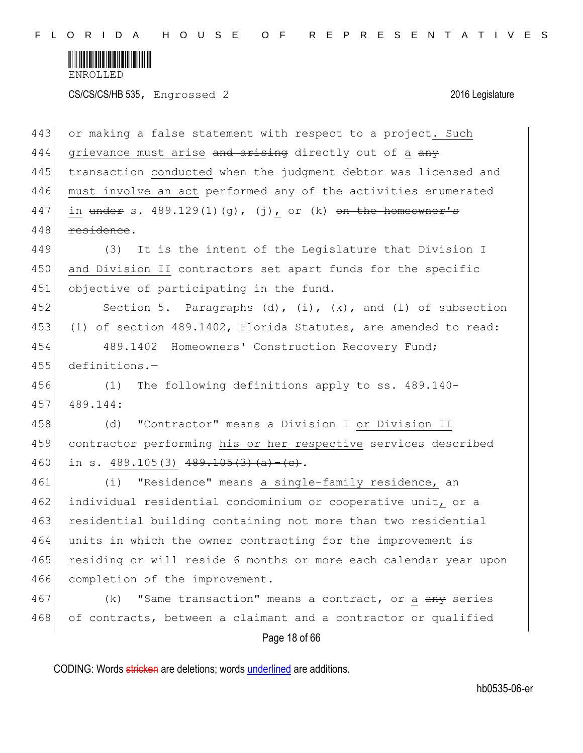

CS/CS/CS/HB 535, Engrossed 2 2016 Legislature

| 443 | or making a false statement with respect to a project. Such      |
|-----|------------------------------------------------------------------|
| 444 | grievance must arise and arising directly out of a any           |
| 445 | transaction conducted when the judgment debtor was licensed and  |
| 446 | must involve an act performed any of the activities enumerated   |
| 447 | in $under s. 489.129(1)(g)$ , (j), or (k) on the homeowner's     |
| 448 | residence.                                                       |
| 449 | (3) It is the intent of the Legislature that Division I          |
| 450 | and Division II contractors set apart funds for the specific     |
| 451 | objective of participating in the fund.                          |
| 452 | Section 5. Paragraphs (d), (i), $(k)$ , and (l) of subsection    |
| 453 | (1) of section 489.1402, Florida Statutes, are amended to read:  |
| 454 | 489.1402 Homeowners' Construction Recovery Fund;                 |
| 455 | $definitions. -$                                                 |
| 456 | The following definitions apply to ss. 489.140-<br>(1)           |
| 457 | 489.144:                                                         |
| 458 | "Contractor" means a Division I or Division II<br>(d)            |
| 459 | contractor performing his or her respective services described   |
| 460 | in s. $489.105(3)$ $489.105(3)$ $(a)$ - (e).                     |
| 461 | "Residence" means a single-family residence, an<br>(i)           |
| 462 | individual residential condominium or cooperative unit, or a     |
| 463 | residential building containing not more than two residential    |
| 464 | units in which the owner contracting for the improvement is      |
| 465 | residing or will reside 6 months or more each calendar year upon |
| 466 | completion of the improvement.                                   |
| 467 | "Same transaction" means a contract, or a any series<br>(k)      |
| 468 | of contracts, between a claimant and a contractor or qualified   |
|     | Page 18 of 66                                                    |

CODING: Words stricken are deletions; words underlined are additions.

hb0535-06-er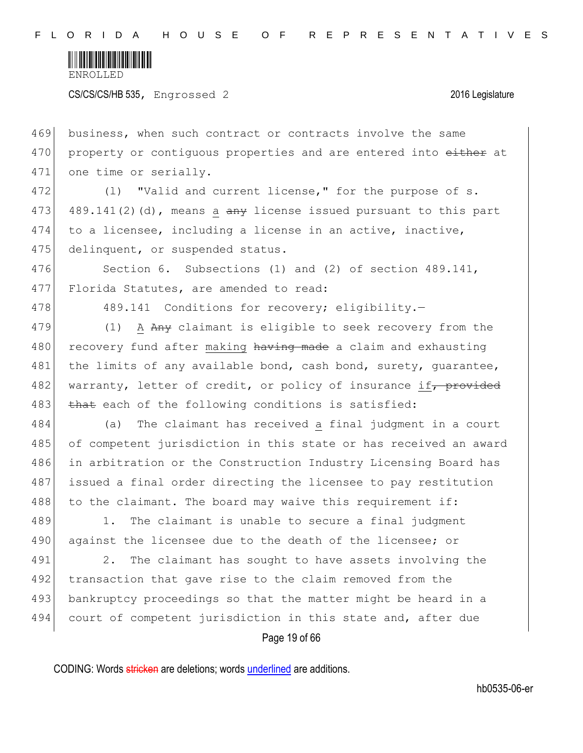

CS/CS/CS/HB 535, Engrossed 2 2016 Legislature

469 business, when such contract or contracts involve the same 470 property or contiguous properties and are entered into either at 471 one time or serially.

472 (1) "Valid and current license," for the purpose of s. 473 489.141(2)(d), means a  $\frac{1}{2}$  and issued pursuant to this part 474 to a licensee, including a license in an active, inactive, 475 delinquent, or suspended status.

476 Section 6. Subsections (1) and (2) of section 489.141, 477 Florida Statutes, are amended to read:

478 489.141 Conditions for recovery; eligibility.

479 (1) A Any claimant is eligible to seek recovery from the 480 recovery fund after making having made a claim and exhausting 481 the limits of any available bond, cash bond, surety, quarantee, 482 warranty, letter of credit, or policy of insurance if, provided 483 that each of the following conditions is satisfied:

 (a) The claimant has received a final judgment in a court 485 of competent jurisdiction in this state or has received an award in arbitration or the Construction Industry Licensing Board has issued a final order directing the licensee to pay restitution to the claimant. The board may waive this requirement if:

489 1. The claimant is unable to secure a final judgment 490 against the licensee due to the death of the licensee; or

491 2. The claimant has sought to have assets involving the 492 transaction that gave rise to the claim removed from the 493 bankruptcy proceedings so that the matter might be heard in a 494 court of competent jurisdiction in this state and, after due

Page 19 of 66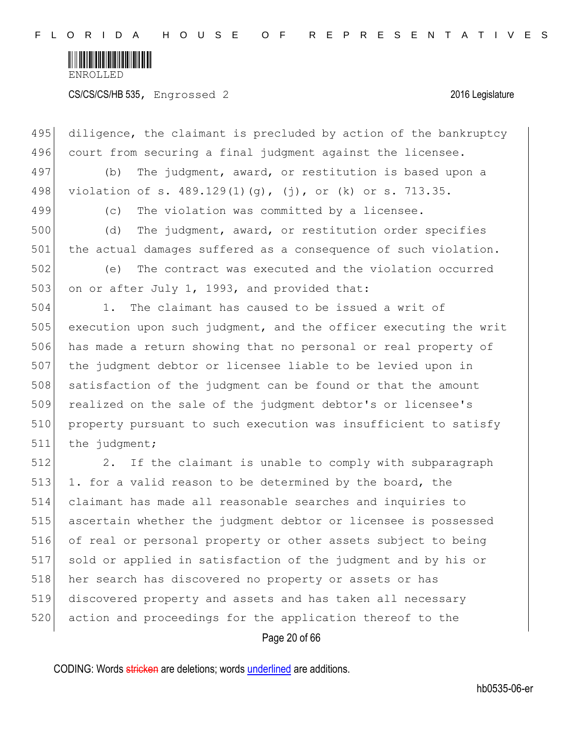

CS/CS/CS/HB 535, Engrossed 2 2016 Legislature

Page 20 of 66 495 diligence, the claimant is precluded by action of the bankruptcy 496 court from securing a final judgment against the licensee. 497 (b) The judgment, award, or restitution is based upon a 498 violation of s. 489.129(1)(g), (j), or (k) or s. 713.35. 499 (c) The violation was committed by a licensee. 500 (d) The judgment, award, or restitution order specifies 501 the actual damages suffered as a consequence of such violation. 502 (e) The contract was executed and the violation occurred 503 on or after July 1, 1993, and provided that: 504 1. The claimant has caused to be issued a writ of 505 execution upon such judgment, and the officer executing the writ 506 has made a return showing that no personal or real property of 507 the judgment debtor or licensee liable to be levied upon in 508 satisfaction of the judgment can be found or that the amount 509 realized on the sale of the judgment debtor's or licensee's 510 property pursuant to such execution was insufficient to satisfy 511 the judgment; 512 2. If the claimant is unable to comply with subparagraph 513 1. for a valid reason to be determined by the board, the 514 claimant has made all reasonable searches and inquiries to 515 ascertain whether the judgment debtor or licensee is possessed 516 of real or personal property or other assets subject to being 517 sold or applied in satisfaction of the judgment and by his or 518 her search has discovered no property or assets or has 519 discovered property and assets and has taken all necessary 520 action and proceedings for the application thereof to the

CODING: Words stricken are deletions; words underlined are additions.

hb0535-06-er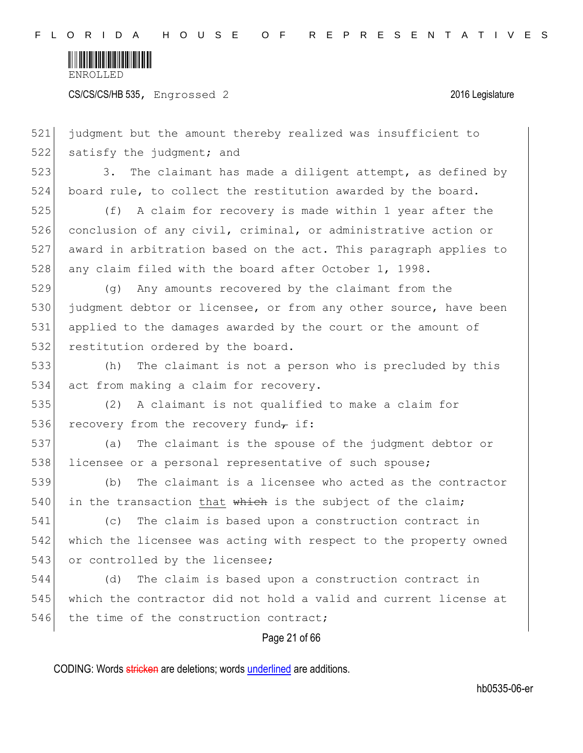

CS/CS/CS/HB 535, Engrossed 2 2016 Legislature

Page 21 of 66 521 judgment but the amount thereby realized was insufficient to 522 satisfy the judgment; and 523 3. The claimant has made a diligent attempt, as defined by 524 board rule, to collect the restitution awarded by the board. 525 (f) A claim for recovery is made within 1 year after the 526 conclusion of any civil, criminal, or administrative action or 527 award in arbitration based on the act. This paragraph applies to 528 any claim filed with the board after October 1, 1998. 529 (g) Any amounts recovered by the claimant from the 530 judgment debtor or licensee, or from any other source, have been 531 applied to the damages awarded by the court or the amount of 532 restitution ordered by the board. 533 (h) The claimant is not a person who is precluded by this 534 act from making a claim for recovery. 535 (2) A claimant is not qualified to make a claim for 536 recovery from the recovery fund<sub>r</sub> if: 537 (a) The claimant is the spouse of the judgment debtor or 538 licensee or a personal representative of such spouse; 539 (b) The claimant is a licensee who acted as the contractor 540 in the transaction that  $whieh$  is the subject of the claim; 541 (c) The claim is based upon a construction contract in 542 which the licensee was acting with respect to the property owned 543 or controlled by the licensee; 544 (d) The claim is based upon a construction contract in 545 which the contractor did not hold a valid and current license at 546 the time of the construction contract;

CODING: Words stricken are deletions; words underlined are additions.

hb0535-06-er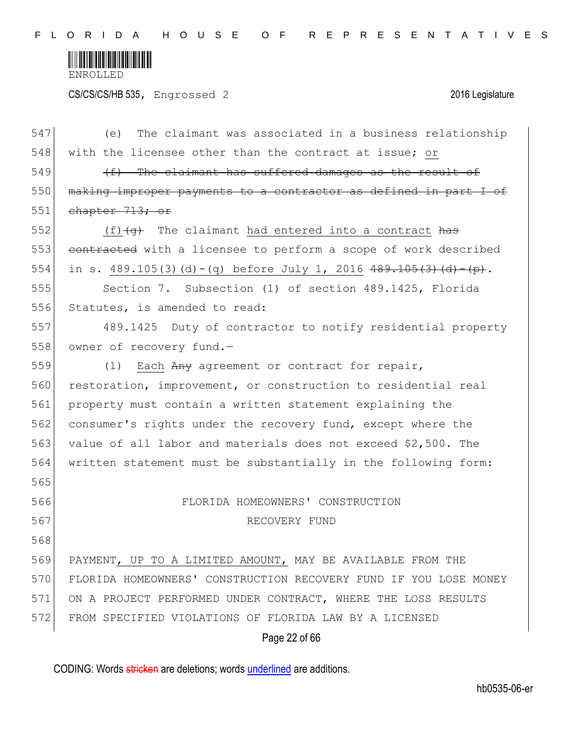

CS/CS/CS/HB 535, Engrossed 2 2016 Legislature

| 547 | The claimant was associated in a business relationship<br>(e)     |
|-----|-------------------------------------------------------------------|
| 548 | with the licensee other than the contract at issue; or            |
| 549 | (f) The claimant has suffered damages as the result of            |
| 550 | making improper payments to a contractor as defined in part I of  |
| 551 | chapter 713; or                                                   |
| 552 | $(f)$ $(g)$ The claimant had entered into a contract has          |
| 553 | contracted with a licensee to perform a scope of work described   |
| 554 | in s. 489.105(3)(d)-(q) before July 1, 2016 $489.105(3)$ (d)-(p). |
| 555 | Section 7. Subsection (1) of section 489.1425, Florida            |
| 556 | Statutes, is amended to read:                                     |
| 557 | 489.1425 Duty of contractor to notify residential property        |
| 558 | owner of recovery fund.-                                          |
| 559 | Each Any agreement or contract for repair,<br>(1)                 |
| 560 | restoration, improvement, or construction to residential real     |
| 561 | property must contain a written statement explaining the          |
| 562 | consumer's rights under the recovery fund, except where the       |
| 563 | value of all labor and materials does not exceed \$2,500. The     |
| 564 | written statement must be substantially in the following form:    |
| 565 |                                                                   |
| 566 | FLORIDA HOMEOWNERS' CONSTRUCTION                                  |
| 567 | RECOVERY FUND                                                     |
| 568 |                                                                   |
| 569 | PAYMENT, UP TO A LIMITED AMOUNT, MAY BE AVAILABLE FROM THE        |
| 570 | FLORIDA HOMEOWNERS' CONSTRUCTION RECOVERY FUND IF YOU LOSE MONEY  |
| 571 | ON A PROJECT PERFORMED UNDER CONTRACT, WHERE THE LOSS RESULTS     |
| 572 | FROM SPECIFIED VIOLATIONS OF FLORIDA LAW BY A LICENSED            |
|     | Page 22 of 66                                                     |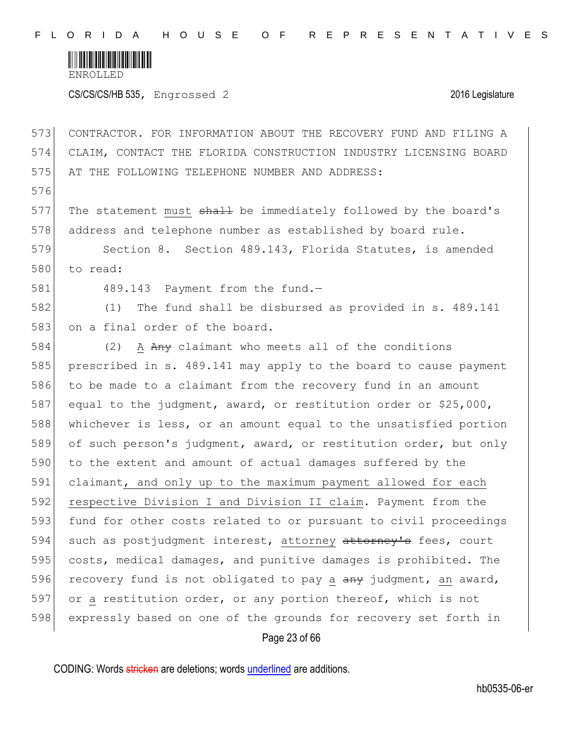

CS/CS/CS/HB 535, Engrossed 2 2016 Legislature

Page 23 of 66 573 CONTRACTOR. FOR INFORMATION ABOUT THE RECOVERY FUND AND FILING A 574 CLAIM, CONTACT THE FLORIDA CONSTRUCTION INDUSTRY LICENSING BOARD 575 AT THE FOLLOWING TELEPHONE NUMBER AND ADDRESS: 576 577 The statement must  $shaH$  be immediately followed by the board's 578 address and telephone number as established by board rule. 579 Section 8. Section 489.143, Florida Statutes, is amended 580 to read: 581 489.143 Payment from the fund. 582 (1) The fund shall be disbursed as provided in s. 489.141 583 on a final order of the board. 584 (2) A Any claimant who meets all of the conditions 585 prescribed in s. 489.141 may apply to the board to cause payment 586 to be made to a claimant from the recovery fund in an amount 587 equal to the judgment, award, or restitution order or \$25,000, 588 whichever is less, or an amount equal to the unsatisfied portion 589 of such person's judgment, award, or restitution order, but only 590 to the extent and amount of actual damages suffered by the 591 claimant, and only up to the maximum payment allowed for each 592 respective Division I and Division II claim. Payment from the 593 fund for other costs related to or pursuant to civil proceedings 594 such as postjudgment interest, attorney attorney's fees, court 595 costs, medical damages, and punitive damages is prohibited. The 596 recovery fund is not obligated to pay a  $a_{\text{H}}$  judgment, an award, 597 or a restitution order, or any portion thereof, which is not 598 expressly based on one of the grounds for recovery set forth in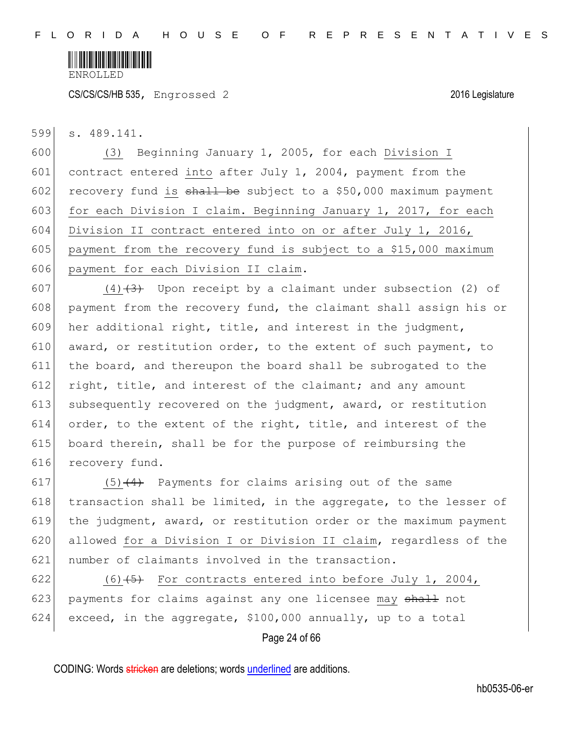

599 s. 489.141.

600 (3) Beginning January 1, 2005, for each Division I 601 contract entered into after July 1, 2004, payment from the 602 recovery fund is  $\frac{1}{2}$  be subject to a \$50,000 maximum payment 603 for each Division I claim. Beginning January 1, 2017, for each 604 Division II contract entered into on or after July 1, 2016, 605 payment from the recovery fund is subject to a \$15,000 maximum 606 payment for each Division II claim.

607 (4) $(4)$  Upon receipt by a claimant under subsection (2) of 608 payment from the recovery fund, the claimant shall assign his or 609 her additional right, title, and interest in the judgment, 610 award, or restitution order, to the extent of such payment, to 611 the board, and thereupon the board shall be subrogated to the 612 right, title, and interest of the claimant; and any amount 613 subsequently recovered on the judgment, award, or restitution 614 order, to the extent of the right, title, and interest of the 615 board therein, shall be for the purpose of reimbursing the 616 recovery fund.

617 (5) $(4)$  Payments for claims arising out of the same 618  $\vert$  transaction shall be limited, in the aggregate, to the lesser of 619 the judgment, award, or restitution order or the maximum payment 620 allowed for a Division I or Division II claim, regardless of the 621 number of claimants involved in the transaction.

622  $(6)$  (6) (5) For contracts entered into before July 1, 2004, 623 payments for claims against any one licensee may  $\frac{1}{2}$  not 624 exceed, in the aggregate,  $$100,000$  annually, up to a total

#### Page 24 of 66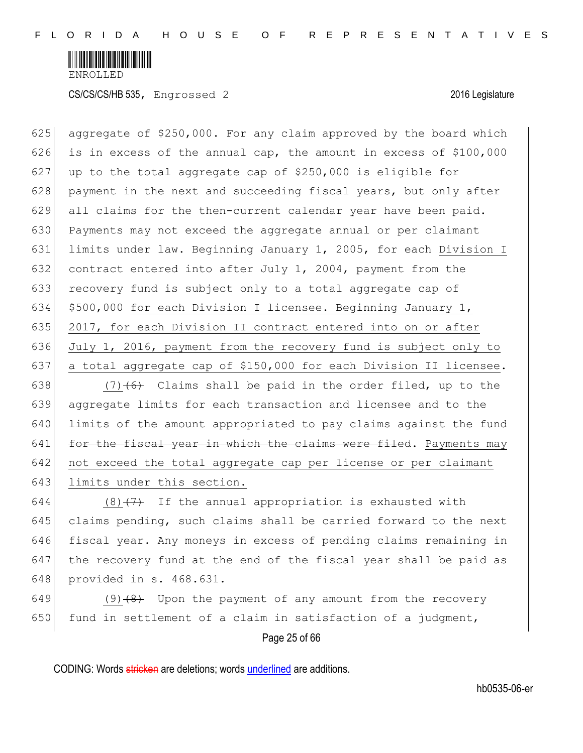

625 aggregate of \$250,000. For any claim approved by the board which 626 is in excess of the annual cap, the amount in excess of  $$100,000$ 627 up to the total aggregate cap of  $$250,000$  is eligible for 628 payment in the next and succeeding fiscal years, but only after 629 all claims for the then-current calendar year have been paid. 630 Payments may not exceed the aggregate annual or per claimant 631 limits under law. Beginning January 1, 2005, for each Division I 632 contract entered into after July 1, 2004, payment from the 633 recovery fund is subject only to a total aggregate cap of 634  $\mid$  \$500,000 for each Division I licensee. Beginning January 1, 635 2017, for each Division II contract entered into on or after 636 July 1, 2016, payment from the recovery fund is subject only to 637 a total aggregate cap of \$150,000 for each Division II licensee.

 $(7)$  (6) Claims shall be paid in the order filed, up to the aggregate limits for each transaction and licensee and to the limits of the amount appropriated to pay claims against the fund for the fiscal year in which the claims were filed. Payments may not exceed the total aggregate cap per license or per claimant 643 limits under this section.

644 (8) $(7)$  If the annual appropriation is exhausted with claims pending, such claims shall be carried forward to the next fiscal year. Any moneys in excess of pending claims remaining in the recovery fund at the end of the fiscal year shall be paid as provided in s. 468.631.

649 (9) $(8)$  Upon the payment of any amount from the recovery 650 fund in settlement of a claim in satisfaction of a judgment,

Page 25 of 66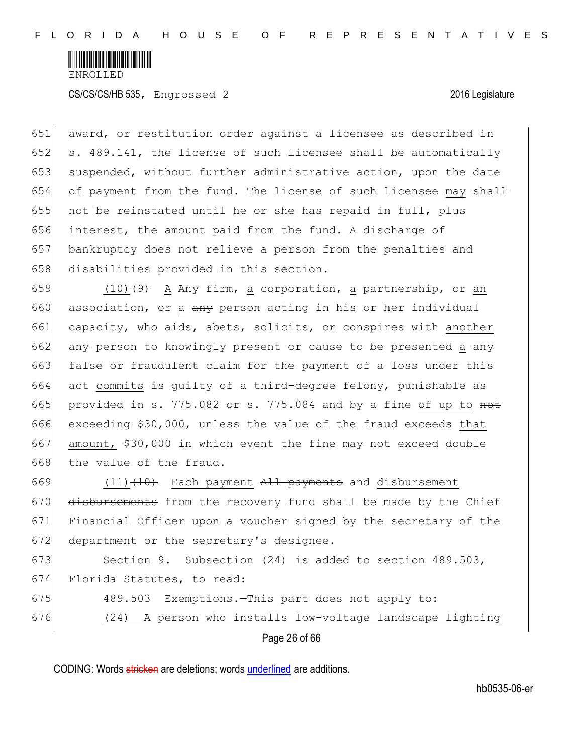

651 award, or restitution order against a licensee as described in 652 s. 489.141, the license of such licensee shall be automatically 653 suspended, without further administrative action, upon the date 654 of payment from the fund. The license of such licensee may  $shall$ 655 not be reinstated until he or she has repaid in full, plus 656 interest, the amount paid from the fund. A discharge of 657 bankruptcy does not relieve a person from the penalties and 658 disabilities provided in this section.

659 (10)<del>(9)</del> A Any firm, a corporation, a partnership, or an 660 association, or a  $\frac{a}{b}$  person acting in his or her individual 661 capacity, who aids, abets, solicits, or conspires with another 662  $\overline{any}$  person to knowingly present or cause to be presented a  $\overline{any}$ 663 false or fraudulent claim for the payment of a loss under this 664 act commits is quilty of a third-degree felony, punishable as 665 provided in s. 775.082 or s. 775.084 and by a fine of up to  $\theta$ 666 exceeding \$30,000, unless the value of the fraud exceeds that 667 amount,  $$30,000$  in which event the fine may not exceed double 668 the value of the fraud.

 $(11)$   $(10)$  Each payment All payments and disbursement disbursements from the recovery fund shall be made by the Chief Financial Officer upon a voucher signed by the secretary of the 672 department or the secretary's designee.

673 Section 9. Subsection (24) is added to section 489.503, 674 Florida Statutes, to read:

- 675 489.503 Exemptions.—This part does not apply to:
- 676 (24) A person who installs low-voltage landscape lighting

Page 26 of 66

CODING: Words stricken are deletions; words underlined are additions.

hb0535-06-er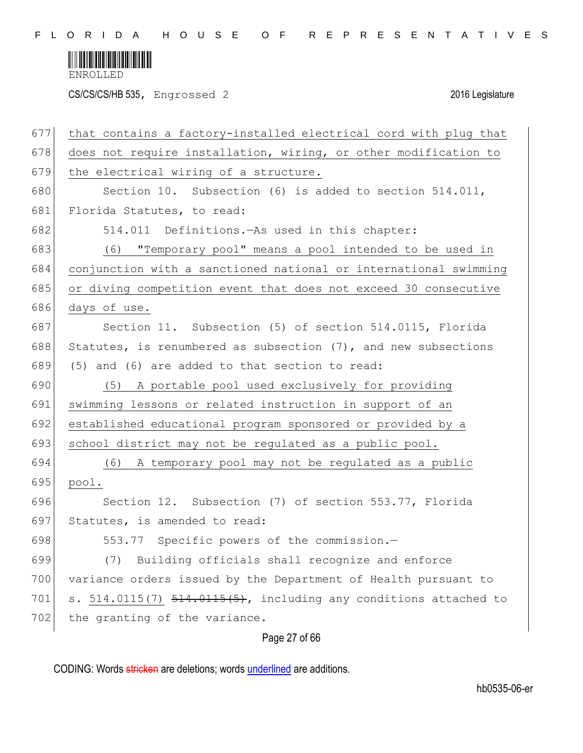

CS/CS/CS/HB 535, Engrossed 2 2016 Legislature

| 677 | that contains a factory-installed electrical cord with plug that  |
|-----|-------------------------------------------------------------------|
| 678 | does not require installation, wiring, or other modification to   |
| 679 | the electrical wiring of a structure.                             |
| 680 | Section 10. Subsection (6) is added to section 514.011,           |
| 681 | Florida Statutes, to read:                                        |
| 682 | 514.011 Definitions. As used in this chapter:                     |
| 683 | (6) "Temporary pool" means a pool intended to be used in          |
| 684 | conjunction with a sanctioned national or international swimming  |
| 685 | or diving competition event that does not exceed 30 consecutive   |
| 686 | days of use.                                                      |
| 687 | Section 11. Subsection (5) of section 514.0115, Florida           |
| 688 | Statutes, is renumbered as subsection $(7)$ , and new subsections |
| 689 | (5) and (6) are added to that section to read:                    |
| 690 | (5) A portable pool used exclusively for providing                |
| 691 | swimming lessons or related instruction in support of an          |
| 692 | established educational program sponsored or provided by a        |
| 693 | school district may not be regulated as a public pool.            |
| 694 | (6) A temporary pool may not be regulated as a public             |
| 695 | pool.                                                             |
| 696 | Section 12. Subsection (7) of section 553.77, Florida             |
| 697 | Statutes, is amended to read:                                     |
| 698 | 553.77 Specific powers of the commission.-                        |
| 699 | Building officials shall recognize and enforce<br>(7)             |
| 700 | variance orders issued by the Department of Health pursuant to    |
| 701 | s. 514.0115(7) 514.0115(5), including any conditions attached to  |
| 702 | the granting of the variance.                                     |
|     |                                                                   |

Page 27 of 66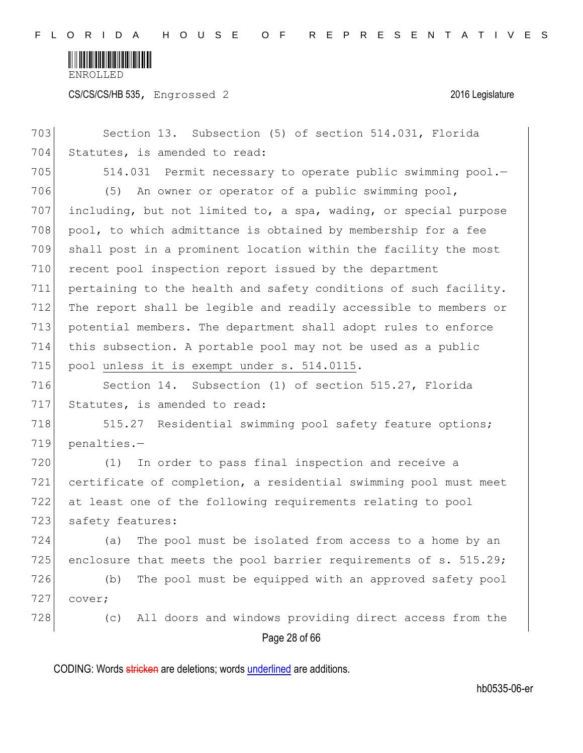

CS/CS/CS/HB 535, Engrossed 2 2016 Legislature

Page 28 of 66 703 Section 13. Subsection (5) of section 514.031, Florida 704 Statutes, is amended to read: 705 514.031 Permit necessary to operate public swimming pool.-706 (5) An owner or operator of a public swimming pool, 707 including, but not limited to, a spa, wading, or special purpose 708 pool, to which admittance is obtained by membership for a fee 709 shall post in a prominent location within the facility the most 710 recent pool inspection report issued by the department 711 pertaining to the health and safety conditions of such facility. 712 The report shall be legible and readily accessible to members or 713 potential members. The department shall adopt rules to enforce 714 this subsection. A portable pool may not be used as a public 715 pool unless it is exempt under s. 514.0115. 716 Section 14. Subsection (1) of section 515.27, Florida 717 Statutes, is amended to read: 718 515.27 Residential swimming pool safety feature options; 719 penalties.— 720 (1) In order to pass final inspection and receive a 721 certificate of completion, a residential swimming pool must meet 722 at least one of the following requirements relating to pool 723 safety features: 724 (a) The pool must be isolated from access to a home by an 725 enclosure that meets the pool barrier requirements of  $s. 515.29$ ; 726 (b) The pool must be equipped with an approved safety pool 727 cover; 728 (c) All doors and windows providing direct access from the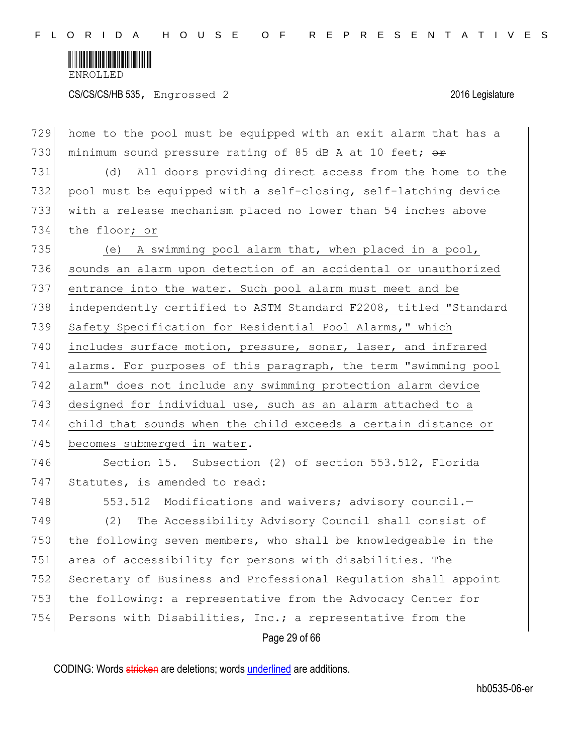

CS/CS/CS/HB 535, Engrossed 2 2016 Legislature

Page 29 of 66 home to the pool must be equipped with an exit alarm that has a 730 minimum sound pressure rating of 85 dB A at 10 feet;  $\theta$  (d) All doors providing direct access from the home to the pool must be equipped with a self-closing, self-latching device with a release mechanism placed no lower than 54 inches above the floor; or (e) A swimming pool alarm that, when placed in a pool, sounds an alarm upon detection of an accidental or unauthorized entrance into the water. Such pool alarm must meet and be independently certified to ASTM Standard F2208, titled "Standard 739 Safety Specification for Residential Pool Alarms," which 740 includes surface motion, pressure, sonar, laser, and infrared alarms. For purposes of this paragraph, the term "swimming pool alarm" does not include any swimming protection alarm device 743 designed for individual use, such as an alarm attached to a child that sounds when the child exceeds a certain distance or 745 becomes submerged in water. Section 15. Subsection (2) of section 553.512, Florida 747 Statutes, is amended to read: 748 553.512 Modifications and waivers; advisory council. (2) The Accessibility Advisory Council shall consist of the following seven members, who shall be knowledgeable in the 751 area of accessibility for persons with disabilities. The Secretary of Business and Professional Regulation shall appoint the following: a representative from the Advocacy Center for Persons with Disabilities, Inc.; a representative from the

CODING: Words stricken are deletions; words underlined are additions.

hb0535-06-er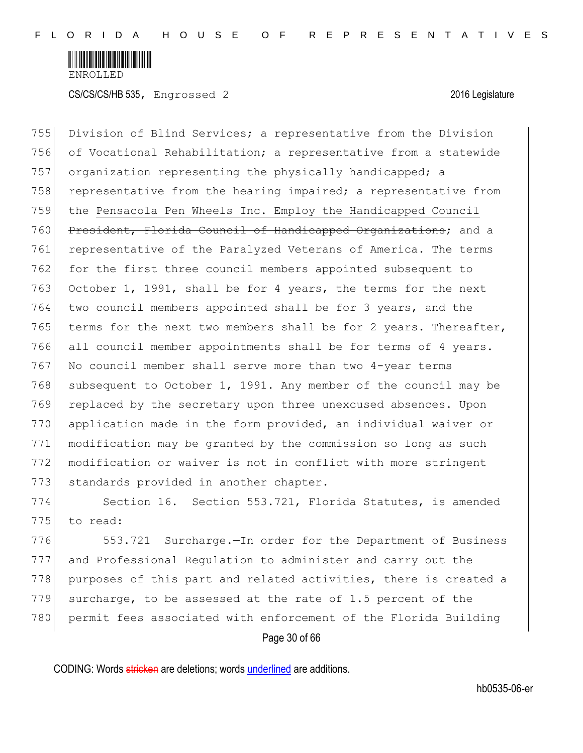

755 Division of Blind Services; a representative from the Division 756 of Vocational Rehabilitation; a representative from a statewide 757 organization representing the physically handicapped; a 758 representative from the hearing impaired; a representative from 759 the Pensacola Pen Wheels Inc. Employ the Handicapped Council 760 President, Florida Council of Handicapped Organizations; and a 761 representative of the Paralyzed Veterans of America. The terms 762 for the first three council members appointed subsequent to 763 October 1, 1991, shall be for 4 years, the terms for the next 764 two council members appointed shall be for 3 years, and the 765 terms for the next two members shall be for 2 years. Thereafter, 766 all council member appointments shall be for terms of 4 years. 767 No council member shall serve more than two 4-year terms 768 subsequent to October 1, 1991. Any member of the council may be 769 replaced by the secretary upon three unexcused absences. Upon 770 application made in the form provided, an individual waiver or 771 modification may be granted by the commission so long as such 772 modification or waiver is not in conflict with more stringent 773 standards provided in another chapter.

774 Section 16. Section 553.721, Florida Statutes, is amended 775 to read:

776 553.721 Surcharge.—In order for the Department of Business 777 and Professional Regulation to administer and carry out the 778 purposes of this part and related activities, there is created a 779 surcharge, to be assessed at the rate of 1.5 percent of the 780 permit fees associated with enforcement of the Florida Building

Page 30 of 66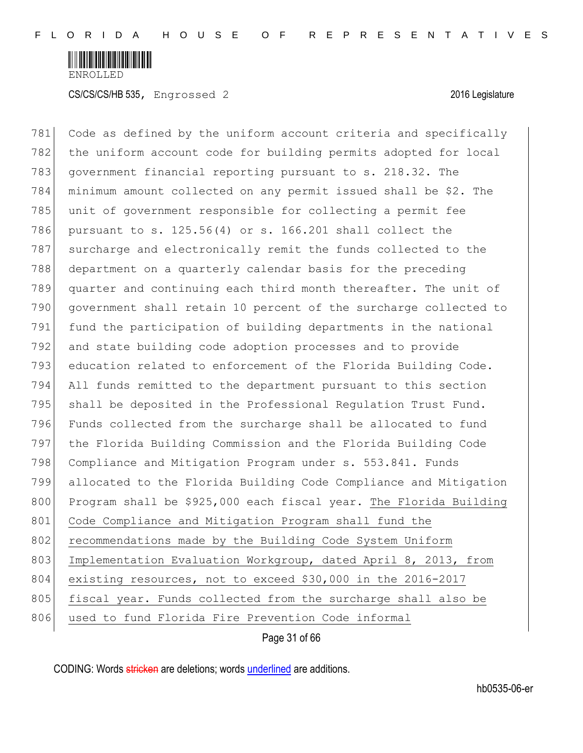

781 Code as defined by the uniform account criteria and specifically 782 the uniform account code for building permits adopted for local 783 government financial reporting pursuant to s. 218.32. The 784 minimum amount collected on any permit issued shall be \$2. The 785 unit of government responsible for collecting a permit fee 786 pursuant to s. 125.56(4) or s. 166.201 shall collect the 787 surcharge and electronically remit the funds collected to the 788 department on a quarterly calendar basis for the preceding 789 quarter and continuing each third month thereafter. The unit of 790 government shall retain 10 percent of the surcharge collected to 791 fund the participation of building departments in the national 792 and state building code adoption processes and to provide 793 education related to enforcement of the Florida Building Code. 794 All funds remitted to the department pursuant to this section 795 shall be deposited in the Professional Requlation Trust Fund. 796 Funds collected from the surcharge shall be allocated to fund 797 the Florida Building Commission and the Florida Building Code 798 Compliance and Mitigation Program under s. 553.841. Funds 799 allocated to the Florida Building Code Compliance and Mitigation 800 Program shall be \$925,000 each fiscal year. The Florida Building 801 Code Compliance and Mitigation Program shall fund the 802 recommendations made by the Building Code System Uniform 803 Implementation Evaluation Workgroup, dated April 8, 2013, from 804 existing resources, not to exceed \$30,000 in the 2016-2017 805 fiscal year. Funds collected from the surcharge shall also be 806 used to fund Florida Fire Prevention Code informal

Page 31 of 66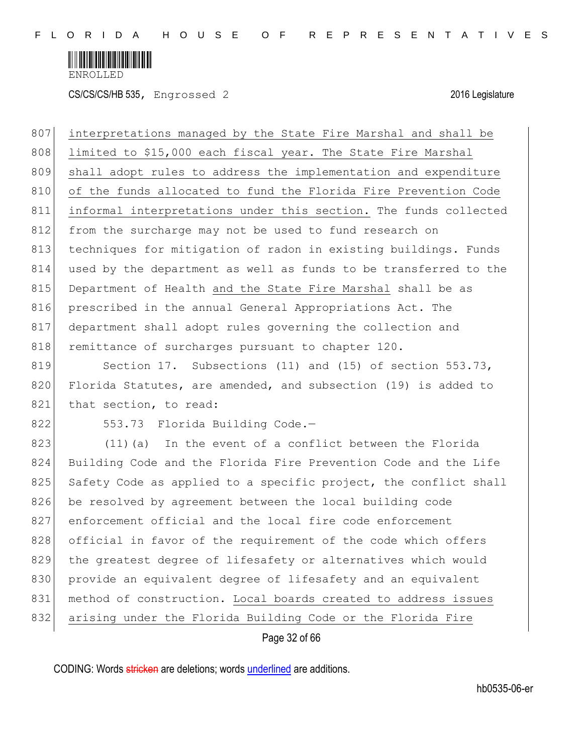

CS/CS/CS/HB 535, Engrossed 2 2016 Legislature

807 interpretations managed by the State Fire Marshal and shall be 808 limited to \$15,000 each fiscal year. The State Fire Marshal 809 shall adopt rules to address the implementation and expenditure 810 of the funds allocated to fund the Florida Fire Prevention Code 811 informal interpretations under this section. The funds collected 812 from the surcharge may not be used to fund research on 813 techniques for mitigation of radon in existing buildings. Funds 814 used by the department as well as funds to be transferred to the 815 Department of Health and the State Fire Marshal shall be as 816 prescribed in the annual General Appropriations Act. The 817 department shall adopt rules governing the collection and 818 remittance of surcharges pursuant to chapter 120.

819 Section 17. Subsections (11) and (15) of section 553.73, 820 Florida Statutes, are amended, and subsection (19) is added to 821 that section, to read:

822 553.73 Florida Building Code.-

823 (11)(a) In the event of a conflict between the Florida 824 Building Code and the Florida Fire Prevention Code and the Life 825 Safety Code as applied to a specific project, the conflict shall 826 be resolved by agreement between the local building code 827 enforcement official and the local fire code enforcement 828 official in favor of the requirement of the code which offers 829 the greatest degree of lifesafety or alternatives which would 830 provide an equivalent degree of lifesafety and an equivalent 831 method of construction. Local boards created to address issues 832 arising under the Florida Building Code or the Florida Fire

Page 32 of 66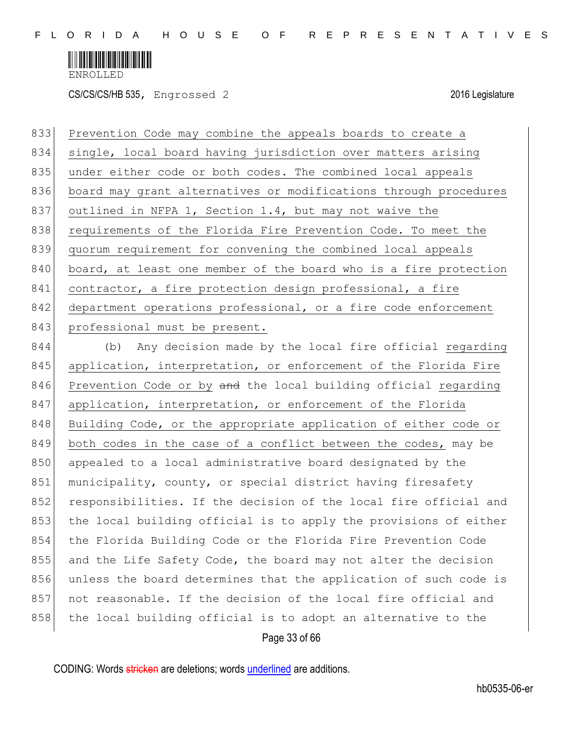

CS/CS/CS/HB 535, Engrossed 2 2016 Legislature

833 Prevention Code may combine the appeals boards to create a 834 single, local board having jurisdiction over matters arising 835 under either code or both codes. The combined local appeals 836 board may grant alternatives or modifications through procedures 837 outlined in NFPA 1, Section 1.4, but may not waive the 838 requirements of the Florida Fire Prevention Code. To meet the 839 quorum requirement for convening the combined local appeals 840 board, at least one member of the board who is a fire protection 841 contractor, a fire protection design professional, a fire 842 department operations professional, or a fire code enforcement 843 professional must be present.

844 (b) Any decision made by the local fire official regarding 845 application, interpretation, or enforcement of the Florida Fire 846 Prevention Code or by and the local building official regarding 847 application, interpretation, or enforcement of the Florida 848 Building Code, or the appropriate application of either code or 849 both codes in the case of a conflict between the codes, may be 850 appealed to a local administrative board designated by the 851 municipality, county, or special district having firesafety 852 responsibilities. If the decision of the local fire official and 853 the local building official is to apply the provisions of either 854 the Florida Building Code or the Florida Fire Prevention Code 855 and the Life Safety Code, the board may not alter the decision 856 unless the board determines that the application of such code is 857 not reasonable. If the decision of the local fire official and 858 the local building official is to adopt an alternative to the

Page 33 of 66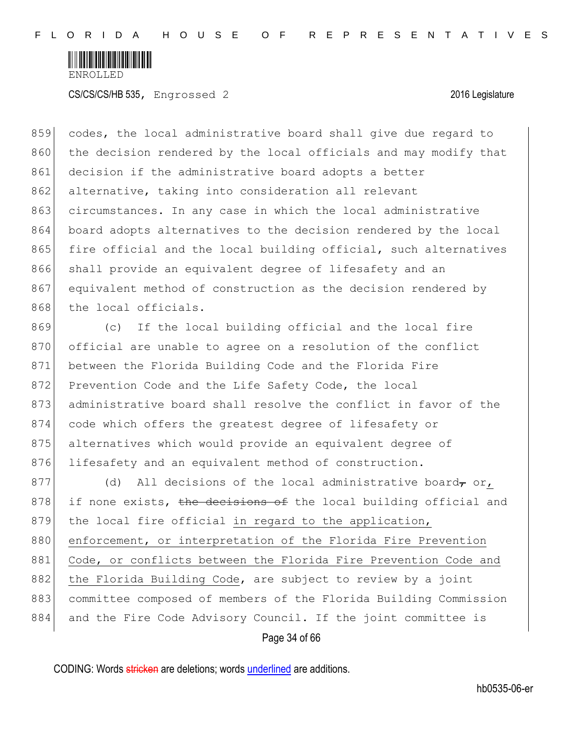

859 codes, the local administrative board shall give due regard to 860 the decision rendered by the local officials and may modify that 861 decision if the administrative board adopts a better 862 alternative, taking into consideration all relevant 863 circumstances. In any case in which the local administrative 864 board adopts alternatives to the decision rendered by the local 865 fire official and the local building official, such alternatives 866 shall provide an equivalent degree of lifesafety and an 867 equivalent method of construction as the decision rendered by 868 the local officials.

869 (c) If the local building official and the local fire 870 official are unable to agree on a resolution of the conflict 871 between the Florida Building Code and the Florida Fire 872 Prevention Code and the Life Safety Code, the local 873 administrative board shall resolve the conflict in favor of the 874 code which offers the greatest degree of lifesafety or 875 alternatives which would provide an equivalent degree of 876 lifesafety and an equivalent method of construction.

877 (d) All decisions of the local administrative board, or,  $878$  if none exists, the decisions of the local building official and 879 the local fire official in regard to the application, 880 enforcement, or interpretation of the Florida Fire Prevention 881 Code, or conflicts between the Florida Fire Prevention Code and 882 the Florida Building Code, are subject to review by a joint 883 committee composed of members of the Florida Building Commission 884 and the Fire Code Advisory Council. If the joint committee is

Page 34 of 66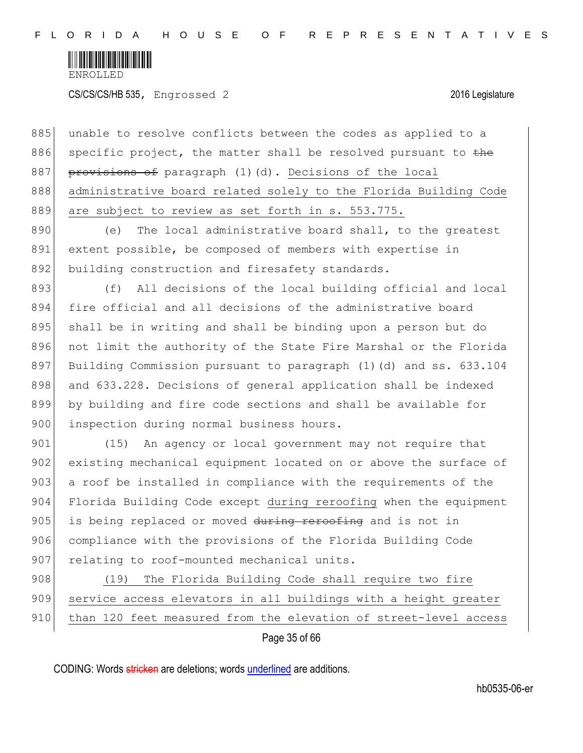

|     | Page 35 of 66                                                     |
|-----|-------------------------------------------------------------------|
| 910 | than 120 feet measured from the elevation of street-level access  |
| 909 | service access elevators in all buildings with a height greater   |
| 908 | The Florida Building Code shall require two fire<br>(19)          |
| 907 | relating to roof-mounted mechanical units.                        |
| 906 | compliance with the provisions of the Florida Building Code       |
| 905 | is being replaced or moved during reroofing and is not in         |
| 904 | Florida Building Code except during reroofing when the equipment  |
| 903 | a roof be installed in compliance with the requirements of the    |
| 902 | existing mechanical equipment located on or above the surface of  |
| 901 | An agency or local government may not require that<br>(15)        |
| 900 | inspection during normal business hours.                          |
| 899 | by building and fire code sections and shall be available for     |
| 898 | and 633.228. Decisions of general application shall be indexed    |
| 897 | Building Commission pursuant to paragraph (1) (d) and ss. 633.104 |
| 896 | not limit the authority of the State Fire Marshal or the Florida  |
| 895 | shall be in writing and shall be binding upon a person but do     |
| 894 | fire official and all decisions of the administrative board       |
| 893 | All decisions of the local building official and local<br>(f)     |
| 892 | building construction and firesafety standards.                   |
| 891 | extent possible, be composed of members with expertise in         |
| 890 | The local administrative board shall, to the greatest<br>(e)      |
| 889 | are subject to review as set forth in s. 553.775.                 |
| 888 | administrative board related solely to the Florida Building Code  |
| 887 | provisions of paragraph (1)(d). Decisions of the local            |
| 886 | specific project, the matter shall be resolved pursuant to the    |
| 885 | unable to resolve conflicts between the codes as applied to a     |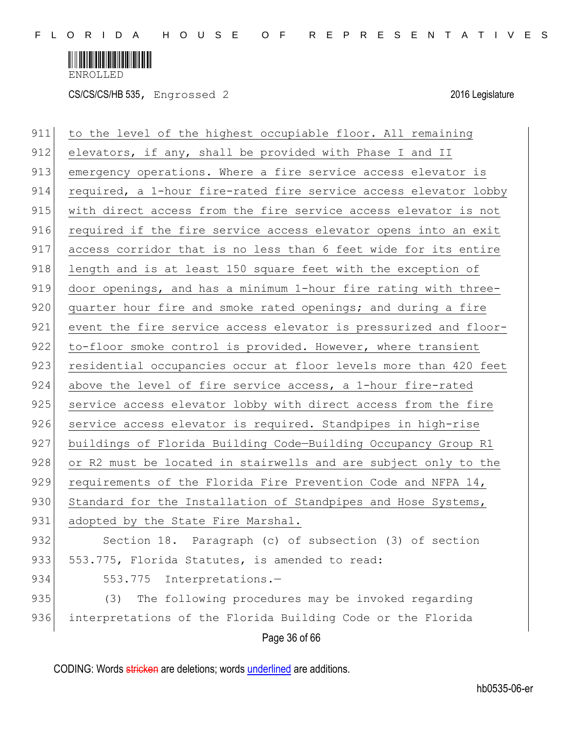

CS/CS/CS/HB 535, Engrossed 2 2016 Legislature

| 911 | to the level of the highest occupiable floor. All remaining      |
|-----|------------------------------------------------------------------|
| 912 | elevators, if any, shall be provided with Phase I and II         |
| 913 | emergency operations. Where a fire service access elevator is    |
| 914 | required, a 1-hour fire-rated fire service access elevator lobby |
| 915 | with direct access from the fire service access elevator is not  |
| 916 | required if the fire service access elevator opens into an exit  |
| 917 | access corridor that is no less than 6 feet wide for its entire  |
| 918 | length and is at least 150 square feet with the exception of     |
| 919 | door openings, and has a minimum 1-hour fire rating with three-  |
| 920 | quarter hour fire and smoke rated openings; and during a fire    |
| 921 | event the fire service access elevator is pressurized and floor- |
| 922 | to-floor smoke control is provided. However, where transient     |
| 923 | residential occupancies occur at floor levels more than 420 feet |
| 924 | above the level of fire service access, a 1-hour fire-rated      |
| 925 | service access elevator lobby with direct access from the fire   |
| 926 | service access elevator is required. Standpipes in high-rise     |
| 927 | buildings of Florida Building Code-Building Occupancy Group R1   |
| 928 | or R2 must be located in stairwells and are subject only to the  |
| 929 | requirements of the Florida Fire Prevention Code and NFPA 14,    |
| 930 | Standard for the Installation of Standpipes and Hose Systems,    |
| 931 | adopted by the State Fire Marshal.                               |
| 932 | Section 18. Paragraph (c) of subsection (3) of section           |
| 933 | 553.775, Florida Statutes, is amended to read:                   |
| 934 | 553.775<br>Interpretations.-                                     |
| 935 | The following procedures may be invoked regarding<br>(3)         |
| 936 | interpretations of the Florida Building Code or the Florida      |
|     | Page 36 of 66                                                    |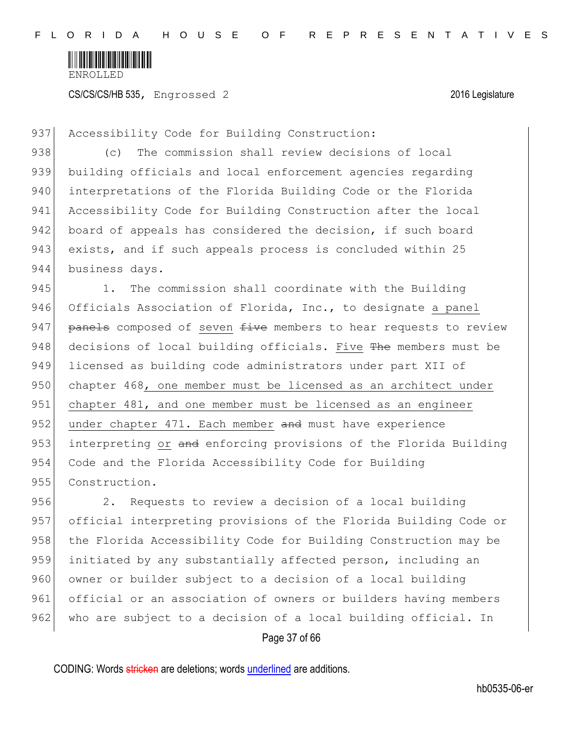

937 Accessibility Code for Building Construction:

938 (c) The commission shall review decisions of local 939 building officials and local enforcement agencies regarding 940 interpretations of the Florida Building Code or the Florida 941 Accessibility Code for Building Construction after the local 942 board of appeals has considered the decision, if such board 943 exists, and if such appeals process is concluded within 25 944 business days.

945 1. The commission shall coordinate with the Building 946 Officials Association of Florida, Inc., to designate a panel 947 **panels** composed of seven  $f{div}e$  members to hear requests to review 948 decisions of local building officials. Five The members must be 949 licensed as building code administrators under part XII of 950 chapter 468, one member must be licensed as an architect under 951 chapter 481, and one member must be licensed as an engineer 952 under chapter 471. Each member and must have experience 953 interpreting or and enforcing provisions of the Florida Building 954 Code and the Florida Accessibility Code for Building 955 Construction.

956 2. Requests to review a decision of a local building 957 official interpreting provisions of the Florida Building Code or 958 | the Florida Accessibility Code for Building Construction may be 959 initiated by any substantially affected person, including an 960 owner or builder subject to a decision of a local building 961 official or an association of owners or builders having members 962 who are subject to a decision of a local building official. In

Page 37 of 66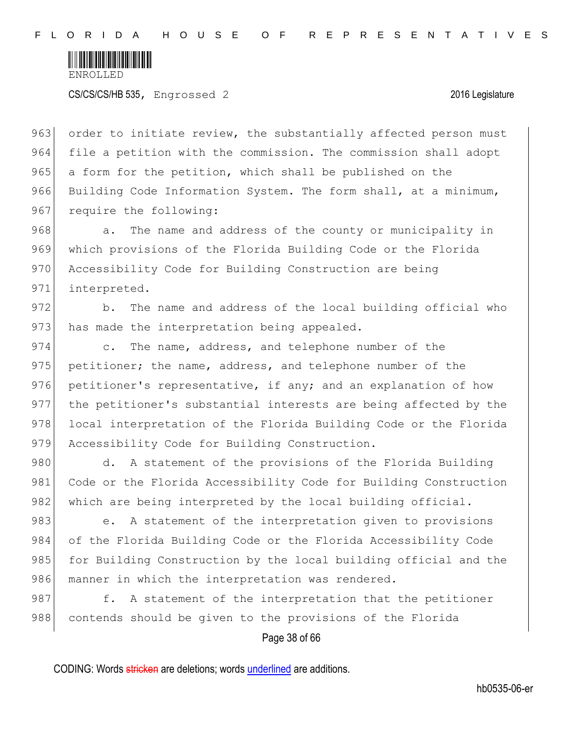

963 order to initiate review, the substantially affected person must 964 file a petition with the commission. The commission shall adopt 965 a form for the petition, which shall be published on the 966 Building Code Information System. The form shall, at a minimum, 967 require the following:

968 a. The name and address of the county or municipality in 969 which provisions of the Florida Building Code or the Florida 970 Accessibility Code for Building Construction are being 971 interpreted.

972 b. The name and address of the local building official who 973 has made the interpretation being appealed.

974 c. The name, address, and telephone number of the 975 petitioner; the name, address, and telephone number of the 976 petitioner's representative, if any; and an explanation of how 977 the petitioner's substantial interests are being affected by the 978 local interpretation of the Florida Building Code or the Florida 979 Accessibility Code for Building Construction.

980 d. A statement of the provisions of the Florida Building 981 Code or the Florida Accessibility Code for Building Construction 982 which are being interpreted by the local building official.

983 e. A statement of the interpretation given to provisions 984 of the Florida Building Code or the Florida Accessibility Code 985 for Building Construction by the local building official and the 986 manner in which the interpretation was rendered.

987 f. A statement of the interpretation that the petitioner 988 contends should be given to the provisions of the Florida

Page 38 of 66

CODING: Words stricken are deletions; words underlined are additions.

hb0535-06-er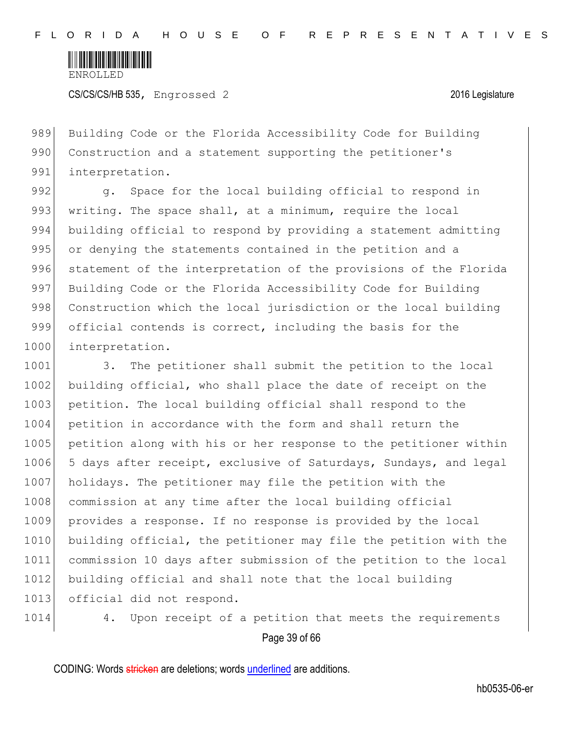

CS/CS/CS/HB 535, Engrossed 2 2016 Legislature

989 Building Code or the Florida Accessibility Code for Building 990 Construction and a statement supporting the petitioner's 991 interpretation.

992 g. Space for the local building official to respond in 993 writing. The space shall, at a minimum, require the local 994 building official to respond by providing a statement admitting 995 or denying the statements contained in the petition and a 996 statement of the interpretation of the provisions of the Florida 997 Building Code or the Florida Accessibility Code for Building 998 Construction which the local jurisdiction or the local building 999 official contends is correct, including the basis for the 1000 interpretation.

1001 3. The petitioner shall submit the petition to the local 1002 building official, who shall place the date of receipt on the 1003 petition. The local building official shall respond to the 1004 petition in accordance with the form and shall return the 1005 petition along with his or her response to the petitioner within 1006 5 days after receipt, exclusive of Saturdays, Sundays, and legal 1007 holidays. The petitioner may file the petition with the 1008 commission at any time after the local building official 1009 provides a response. If no response is provided by the local 1010 building official, the petitioner may file the petition with the 1011 commission 10 days after submission of the petition to the local 1012 building official and shall note that the local building 1013 official did not respond.

1014 4. Upon receipt of a petition that meets the requirements

#### Page 39 of 66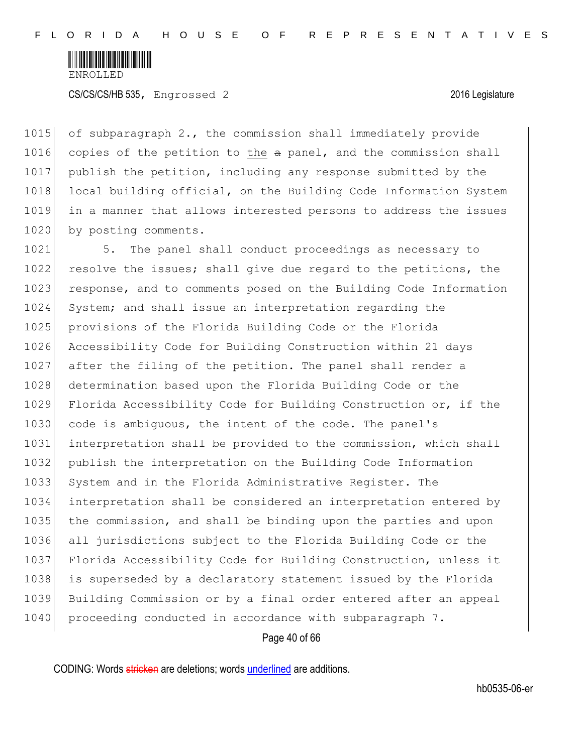

1015 of subparagraph 2., the commission shall immediately provide 1016 copies of the petition to the a panel, and the commission shall 1017 publish the petition, including any response submitted by the 1018 local building official, on the Building Code Information System 1019 in a manner that allows interested persons to address the issues 1020 by posting comments.

1021 5. The panel shall conduct proceedings as necessary to 1022 resolve the issues; shall give due regard to the petitions, the 1023 response, and to comments posed on the Building Code Information 1024 System; and shall issue an interpretation regarding the 1025 provisions of the Florida Building Code or the Florida 1026 Accessibility Code for Building Construction within 21 days 1027 after the filing of the petition. The panel shall render a 1028 determination based upon the Florida Building Code or the 1029 Florida Accessibility Code for Building Construction or, if the 1030 code is ambiguous, the intent of the code. The panel's 1031 interpretation shall be provided to the commission, which shall 1032 publish the interpretation on the Building Code Information 1033 System and in the Florida Administrative Register. The 1034 interpretation shall be considered an interpretation entered by 1035 the commission, and shall be binding upon the parties and upon 1036 all jurisdictions subject to the Florida Building Code or the 1037 Florida Accessibility Code for Building Construction, unless it 1038 is superseded by a declaratory statement issued by the Florida 1039 Building Commission or by a final order entered after an appeal 1040 proceeding conducted in accordance with subparagraph 7.

Page 40 of 66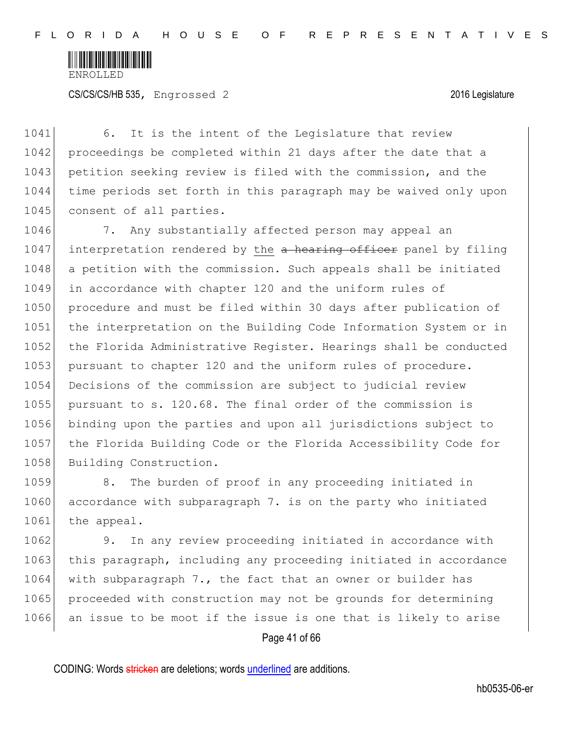

1041 6. It is the intent of the Legislature that review 1042 proceedings be completed within 21 days after the date that a 1043 petition seeking review is filed with the commission, and the 1044 time periods set forth in this paragraph may be waived only upon 1045 consent of all parties.

1046 7. Any substantially affected person may appeal an 1047 interpretation rendered by the  $\alpha$  hearing officer panel by filing 1048 a petition with the commission. Such appeals shall be initiated 1049 in accordance with chapter 120 and the uniform rules of 1050 procedure and must be filed within 30 days after publication of 1051 the interpretation on the Building Code Information System or in 1052 the Florida Administrative Register. Hearings shall be conducted 1053 pursuant to chapter 120 and the uniform rules of procedure. 1054 Decisions of the commission are subject to judicial review 1055 pursuant to s. 120.68. The final order of the commission is 1056 binding upon the parties and upon all jurisdictions subject to 1057 the Florida Building Code or the Florida Accessibility Code for 1058 Building Construction.

1059 8. The burden of proof in any proceeding initiated in 1060 accordance with subparagraph 7. is on the party who initiated 1061 the appeal.

1062 9. In any review proceeding initiated in accordance with 1063 this paragraph, including any proceeding initiated in accordance 1064 with subparagraph 7., the fact that an owner or builder has 1065 proceeded with construction may not be grounds for determining 1066 an issue to be moot if the issue is one that is likely to arise

Page 41 of 66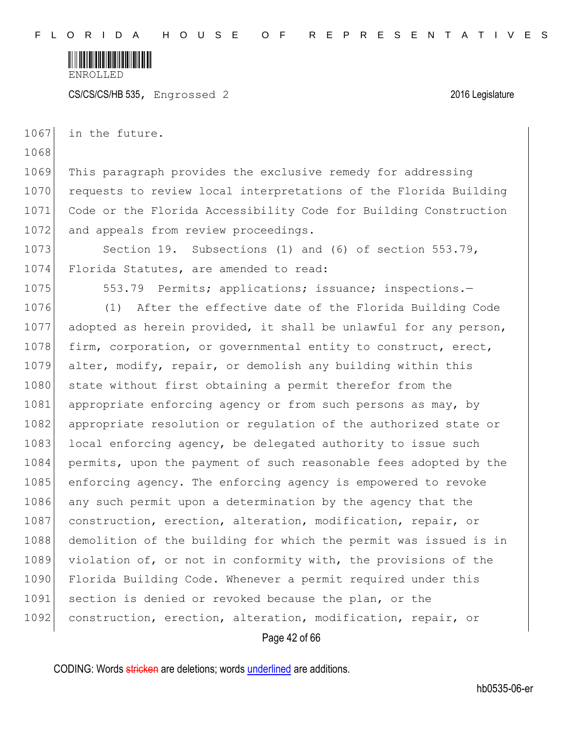

CS/CS/CS/HB 535, Engrossed 2 2016 Legislature

1067 in the future.

1069 This paragraph provides the exclusive remedy for addressing 1070 requests to review local interpretations of the Florida Building 1071 Code or the Florida Accessibility Code for Building Construction 1072 and appeals from review proceedings.

1073 Section 19. Subsections (1) and (6) of section 553.79, 1074 Florida Statutes, are amended to read:

1068

1075 553.79 Permits; applications; issuance; inspections.

1076 (1) After the effective date of the Florida Building Code 1077 adopted as herein provided, it shall be unlawful for any person, 1078 firm, corporation, or governmental entity to construct, erect, 1079 alter, modify, repair, or demolish any building within this 1080 state without first obtaining a permit therefor from the 1081 appropriate enforcing agency or from such persons as may, by 1082 appropriate resolution or regulation of the authorized state or 1083 local enforcing agency, be delegated authority to issue such 1084 permits, upon the payment of such reasonable fees adopted by the 1085 enforcing agency. The enforcing agency is empowered to revoke 1086 any such permit upon a determination by the agency that the 1087 construction, erection, alteration, modification, repair, or 1088 demolition of the building for which the permit was issued is in 1089 violation of, or not in conformity with, the provisions of the 1090 Florida Building Code. Whenever a permit required under this 1091 section is denied or revoked because the plan, or the 1092 construction, erection, alteration, modification, repair, or

Page 42 of 66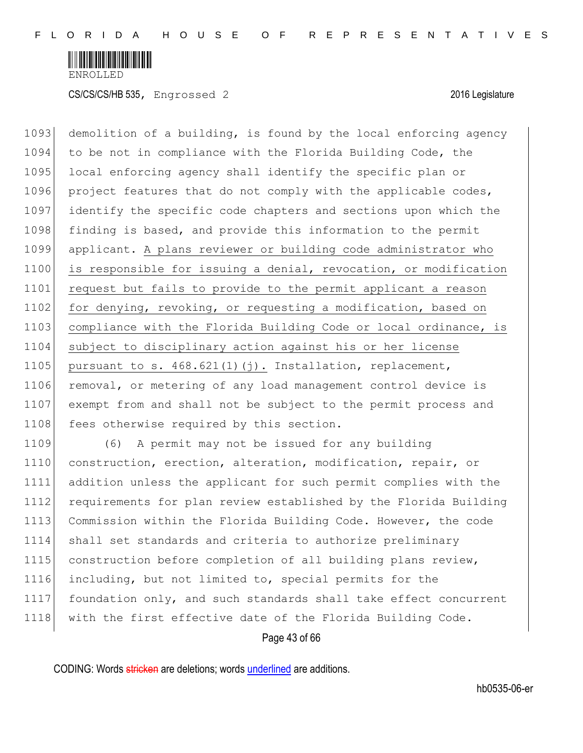

1093 demolition of a building, is found by the local enforcing agency 1094 to be not in compliance with the Florida Building Code, the 1095 local enforcing agency shall identify the specific plan or 1096 project features that do not comply with the applicable codes, 1097 identify the specific code chapters and sections upon which the 1098 finding is based, and provide this information to the permit 1099 applicant. A plans reviewer or building code administrator who 1100 is responsible for issuing a denial, revocation, or modification 1101 request but fails to provide to the permit applicant a reason 1102 for denying, revoking, or requesting a modification, based on 1103 compliance with the Florida Building Code or local ordinance, is 1104 subject to disciplinary action against his or her license 1105 pursuant to s.  $468.621(1)(j)$ . Installation, replacement, 1106 removal, or metering of any load management control device is 1107 exempt from and shall not be subject to the permit process and 1108 fees otherwise required by this section.

1109 (6) A permit may not be issued for any building 1110 construction, erection, alteration, modification, repair, or 1111 addition unless the applicant for such permit complies with the 1112 requirements for plan review established by the Florida Building 1113 Commission within the Florida Building Code. However, the code 1114 shall set standards and criteria to authorize preliminary 1115 construction before completion of all building plans review, 1116 including, but not limited to, special permits for the 1117 foundation only, and such standards shall take effect concurrent 1118 with the first effective date of the Florida Building Code.

Page 43 of 66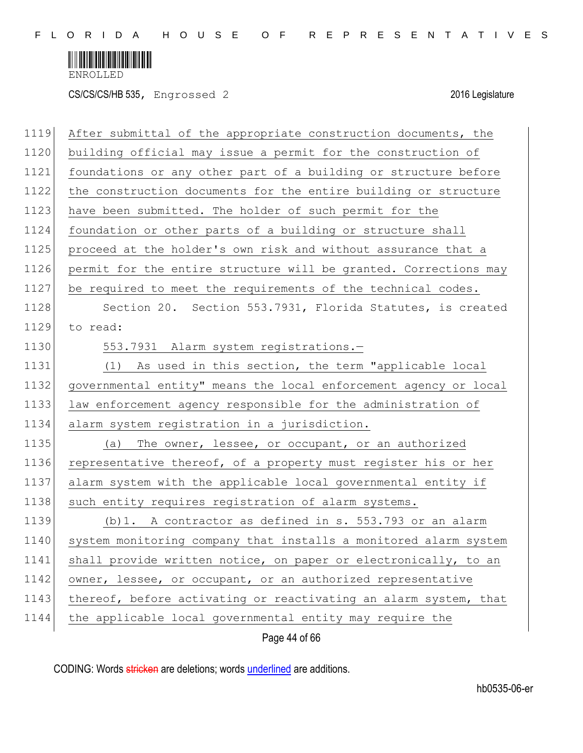

CS/CS/CS/HB 535, Engrossed 2 2016 Legislature

| 1119 | After submittal of the appropriate construction documents, the   |
|------|------------------------------------------------------------------|
| 1120 | building official may issue a permit for the construction of     |
| 1121 | foundations or any other part of a building or structure before  |
| 1122 | the construction documents for the entire building or structure  |
| 1123 | have been submitted. The holder of such permit for the           |
| 1124 | foundation or other parts of a building or structure shall       |
| 1125 | proceed at the holder's own risk and without assurance that a    |
| 1126 | permit for the entire structure will be granted. Corrections may |
| 1127 | be required to meet the requirements of the technical codes.     |
| 1128 | Section 20. Section 553.7931, Florida Statutes, is created       |
| 1129 | to read:                                                         |
| 1130 | 553.7931 Alarm system registrations.-                            |
| 1131 | (1) As used in this section, the term "applicable local          |
| 1132 | governmental entity" means the local enforcement agency or local |
| 1133 | law enforcement agency responsible for the administration of     |
| 1134 | alarm system registration in a jurisdiction.                     |
| 1135 | The owner, lessee, or occupant, or an authorized<br>(a)          |
| 1136 | representative thereof, of a property must register his or her   |
| 1137 | alarm system with the applicable local governmental entity if    |
| 1138 | such entity requires registration of alarm systems.              |
| 1139 | (b) 1. A contractor as defined in s. 553.793 or an alarm         |
| 1140 | system monitoring company that installs a monitored alarm system |
| 1141 | shall provide written notice, on paper or electronically, to an  |
| 1142 | owner, lessee, or occupant, or an authorized representative      |
| 1143 | thereof, before activating or reactivating an alarm system, that |
| 1144 | the applicable local governmental entity may require the         |
|      |                                                                  |

Page 44 of 66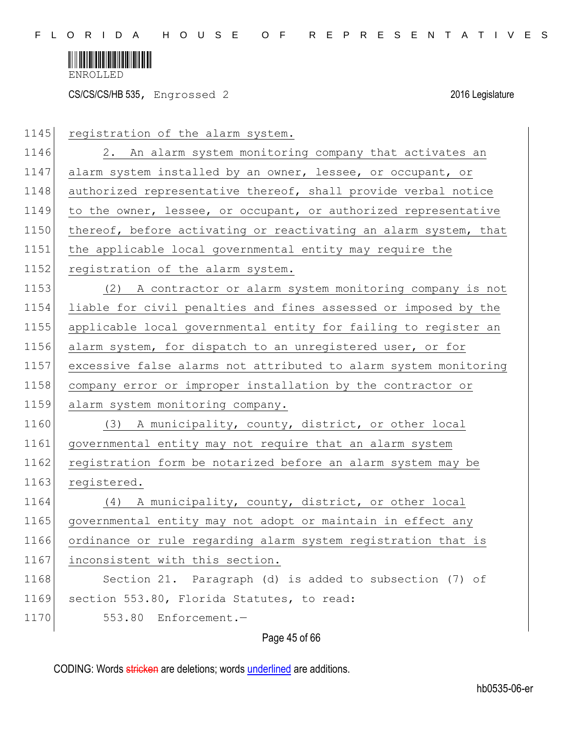

CS/CS/CS/HB 535, Engrossed 2 2016 Legislature

| 1145 | registration of the alarm system.                                |
|------|------------------------------------------------------------------|
| 1146 | 2. An alarm system monitoring company that activates an          |
| 1147 | alarm system installed by an owner, lessee, or occupant, or      |
| 1148 | authorized representative thereof, shall provide verbal notice   |
| 1149 | to the owner, lessee, or occupant, or authorized representative  |
| 1150 | thereof, before activating or reactivating an alarm system, that |
| 1151 | the applicable local governmental entity may require the         |
| 1152 | registration of the alarm system.                                |
| 1153 | A contractor or alarm system monitoring company is not<br>(2)    |
| 1154 | liable for civil penalties and fines assessed or imposed by the  |
| 1155 | applicable local governmental entity for failing to register an  |
| 1156 | alarm system, for dispatch to an unregistered user, or for       |
| 1157 | excessive false alarms not attributed to alarm system monitoring |
| 1158 | company error or improper installation by the contractor or      |
| 1159 | alarm system monitoring company.                                 |
| 1160 | (3) A municipality, county, district, or other local             |
| 1161 | governmental entity may not require that an alarm system         |
| 1162 | registration form be notarized before an alarm system may be     |
| 1163 | registered.                                                      |
| 1164 | (4) A municipality, county, district, or other local             |
| 1165 | governmental entity may not adopt or maintain in effect any      |
| 1166 | ordinance or rule regarding alarm system registration that is    |
| 1167 | inconsistent with this section.                                  |
| 1168 | Section 21. Paragraph (d) is added to subsection (7) of          |
| 1169 | section 553.80, Florida Statutes, to read:                       |
| 1170 | 553.80 Enforcement.-                                             |
|      |                                                                  |

Page 45 of 66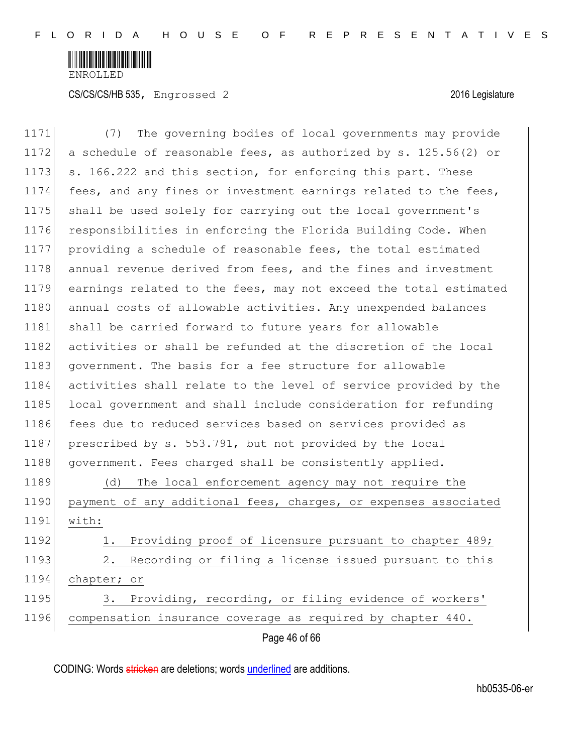

| 1171 | The governing bodies of local governments may provide<br>(7)     |
|------|------------------------------------------------------------------|
| 1172 | a schedule of reasonable fees, as authorized by s. 125.56(2) or  |
| 1173 | s. 166.222 and this section, for enforcing this part. These      |
| 1174 | fees, and any fines or investment earnings related to the fees,  |
| 1175 | shall be used solely for carrying out the local government's     |
| 1176 | responsibilities in enforcing the Florida Building Code. When    |
| 1177 | providing a schedule of reasonable fees, the total estimated     |
| 1178 | annual revenue derived from fees, and the fines and investment   |
| 1179 | earnings related to the fees, may not exceed the total estimated |
| 1180 | annual costs of allowable activities. Any unexpended balances    |
| 1181 | shall be carried forward to future years for allowable           |
| 1182 | activities or shall be refunded at the discretion of the local   |
| 1183 | government. The basis for a fee structure for allowable          |
| 1184 | activities shall relate to the level of service provided by the  |
| 1185 | local government and shall include consideration for refunding   |
| 1186 | fees due to reduced services based on services provided as       |
| 1187 | prescribed by s. 553.791, but not provided by the local          |
| 1188 | government. Fees charged shall be consistently applied.          |
| 1189 | The local enforcement agency may not require the<br>(d)          |
| 1190 | payment of any additional fees, charges, or expenses associated  |
| 1191 | with:                                                            |
| 1192 | Providing proof of licensure pursuant to chapter 489;<br>1.      |
| 1193 | Recording or filing a license issued pursuant to this<br>2.      |
| 1194 | chapter; or                                                      |
| 1195 | Providing, recording, or filing evidence of workers'<br>3.       |
| 1196 | compensation insurance coverage as required by chapter 440.      |
|      | Page 46 of 66                                                    |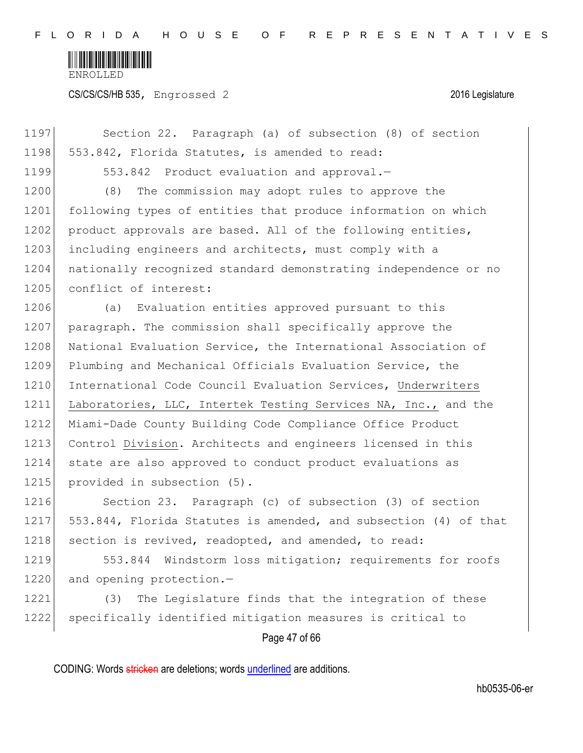

CS/CS/CS/HB 535, Engrossed 2 2016 Legislature

Page 47 of 66 1197 Section 22. Paragraph (a) of subsection (8) of section 1198 553.842, Florida Statutes, is amended to read: 1199 553.842 Product evaluation and approval.-1200 (8) The commission may adopt rules to approve the 1201 following types of entities that produce information on which 1202 product approvals are based. All of the following entities, 1203 including engineers and architects, must comply with a 1204 | nationally recognized standard demonstrating independence or no 1205 conflict of interest: 1206 (a) Evaluation entities approved pursuant to this 1207 paragraph. The commission shall specifically approve the 1208 National Evaluation Service, the International Association of 1209 Plumbing and Mechanical Officials Evaluation Service, the 1210 International Code Council Evaluation Services, Underwriters 1211 Laboratories, LLC, Intertek Testing Services NA, Inc., and the 1212 Miami-Dade County Building Code Compliance Office Product 1213 Control Division. Architects and engineers licensed in this 1214 state are also approved to conduct product evaluations as 1215 provided in subsection (5). 1216 Section 23. Paragraph (c) of subsection (3) of section 1217 553.844, Florida Statutes is amended, and subsection (4) of that 1218 section is revived, readopted, and amended, to read: 1219 553.844 Windstorm loss mitigation; requirements for roofs 1220 and opening protection.-1221 (3) The Legislature finds that the integration of these 1222 specifically identified mitigation measures is critical to

CODING: Words stricken are deletions; words underlined are additions.

hb0535-06-er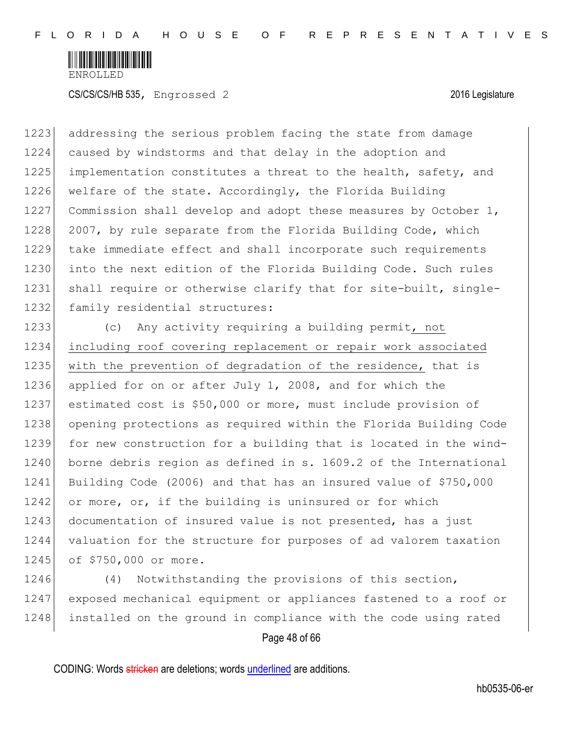

1223 addressing the serious problem facing the state from damage 1224 caused by windstorms and that delay in the adoption and 1225 implementation constitutes a threat to the health, safety, and 1226 welfare of the state. Accordingly, the Florida Building 1227 Commission shall develop and adopt these measures by October 1, 1228 2007, by rule separate from the Florida Building Code, which 1229 take immediate effect and shall incorporate such requirements 1230 into the next edition of the Florida Building Code. Such rules 1231 shall require or otherwise clarify that for site-built, single-1232 family residential structures:

 (c) Any activity requiring a building permit, not including roof covering replacement or repair work associated 1235 with the prevention of degradation of the residence, that is applied for on or after July 1, 2008, and for which the estimated cost is \$50,000 or more, must include provision of opening protections as required within the Florida Building Code for new construction for a building that is located in the wind-1240 borne debris region as defined in s. 1609.2 of the International Building Code (2006) and that has an insured value of \$750,000 1242 or more, or, if the building is uninsured or for which 1243 documentation of insured value is not presented, has a just valuation for the structure for purposes of ad valorem taxation 1245 of \$750,000 or more.

1246 (4) Notwithstanding the provisions of this section, 1247 exposed mechanical equipment or appliances fastened to a roof or 1248 installed on the ground in compliance with the code using rated

Page 48 of 66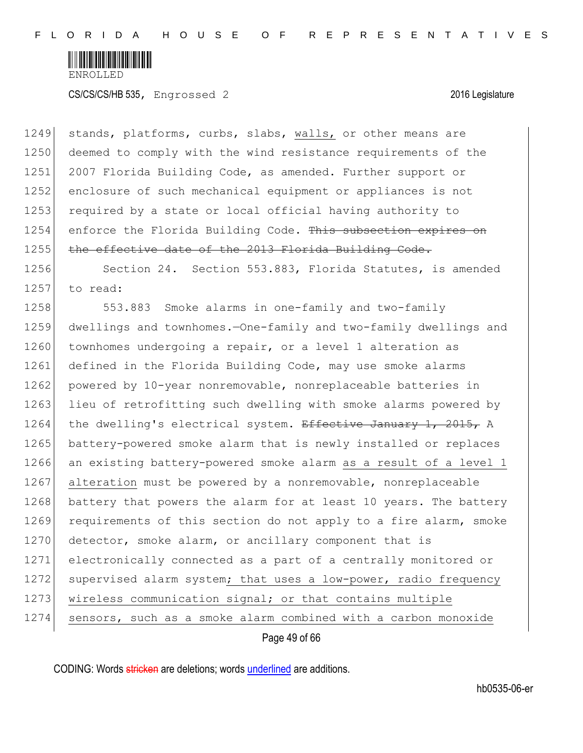

1249 stands, platforms, curbs, slabs, walls, or other means are 1250 deemed to comply with the wind resistance requirements of the 1251 2007 Florida Building Code, as amended. Further support or 1252 enclosure of such mechanical equipment or appliances is not 1253 required by a state or local official having authority to 1254 enforce the Florida Building Code. This subsection expires on 1255 the effective date of the 2013 Florida Building Code. 1256 Section 24. Section 553.883, Florida Statutes, is amended 1257 to read: 1258 553.883 Smoke alarms in one-family and two-family 1259 dwellings and townhomes.—One-family and two-family dwellings and 1260 townhomes undergoing a repair, or a level 1 alteration as 1261 defined in the Florida Building Code, may use smoke alarms 1262 powered by 10-year nonremovable, nonreplaceable batteries in 1263 lieu of retrofitting such dwelling with smoke alarms powered by 1264 the dwelling's electrical system. Effective January 1, 2015, A 1265 battery-powered smoke alarm that is newly installed or replaces 1266 an existing battery-powered smoke alarm as a result of a level 1 1267 alteration must be powered by a nonremovable, nonreplaceable 1268 battery that powers the alarm for at least 10 years. The battery 1269 requirements of this section do not apply to a fire alarm, smoke 1270 detector, smoke alarm, or ancillary component that is 1271 electronically connected as a part of a centrally monitored or 1272 supervised alarm system; that uses a low-power, radio frequency 1273 | wireless communication signal; or that contains multiple 1274 sensors, such as a smoke alarm combined with a carbon monoxide

Page 49 of 66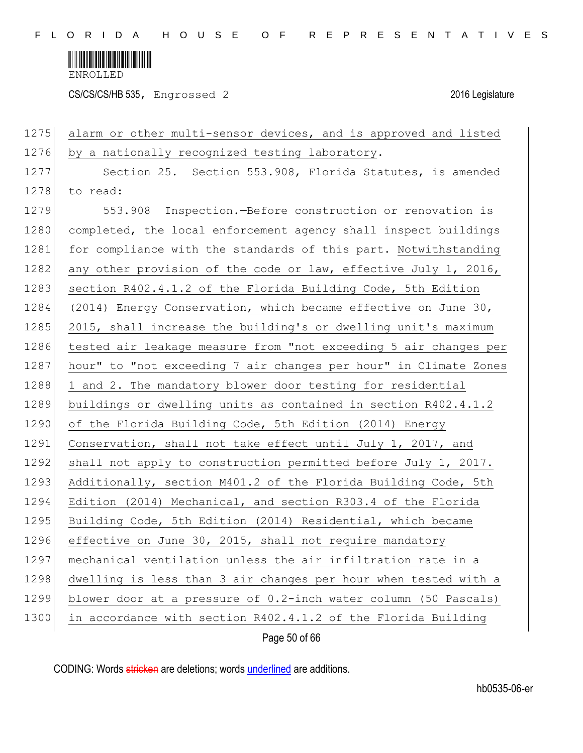

CS/CS/CS/HB 535, Engrossed 2 2016 Legislature

| 1275 | alarm or other multi-sensor devices, and is approved and listed  |
|------|------------------------------------------------------------------|
| 1276 | by a nationally recognized testing laboratory.                   |
| 1277 | Section 25. Section 553.908, Florida Statutes, is amended        |
| 1278 | to read:                                                         |
| 1279 | 553.908 Inspection. - Before construction or renovation is       |
| 1280 | completed, the local enforcement agency shall inspect buildings  |
| 1281 | for compliance with the standards of this part. Notwithstanding  |
| 1282 | any other provision of the code or law, effective July 1, 2016,  |
| 1283 | section R402.4.1.2 of the Florida Building Code, 5th Edition     |
| 1284 | (2014) Energy Conservation, which became effective on June 30,   |
| 1285 | 2015, shall increase the building's or dwelling unit's maximum   |
| 1286 | tested air leakage measure from "not exceeding 5 air changes per |
| 1287 | hour" to "not exceeding 7 air changes per hour" in Climate Zones |
| 1288 | 1 and 2. The mandatory blower door testing for residential       |
| 1289 | buildings or dwelling units as contained in section R402.4.1.2   |
| 1290 | of the Florida Building Code, 5th Edition (2014) Energy          |
| 1291 | Conservation, shall not take effect until July 1, 2017, and      |
| 1292 | shall not apply to construction permitted before July 1, 2017.   |
| 1293 | Additionally, section M401.2 of the Florida Building Code, 5th   |
| 1294 | Edition (2014) Mechanical, and section R303.4 of the Florida     |
| 1295 | Building Code, 5th Edition (2014) Residential, which became      |
| 1296 | effective on June 30, 2015, shall not require mandatory          |
| 1297 | mechanical ventilation unless the air infiltration rate in a     |
| 1298 | dwelling is less than 3 air changes per hour when tested with a  |
| 1299 | blower door at a pressure of 0.2-inch water column (50 Pascals)  |
| 1300 | in accordance with section R402.4.1.2 of the Florida Building    |
|      | Page 50 of 66                                                    |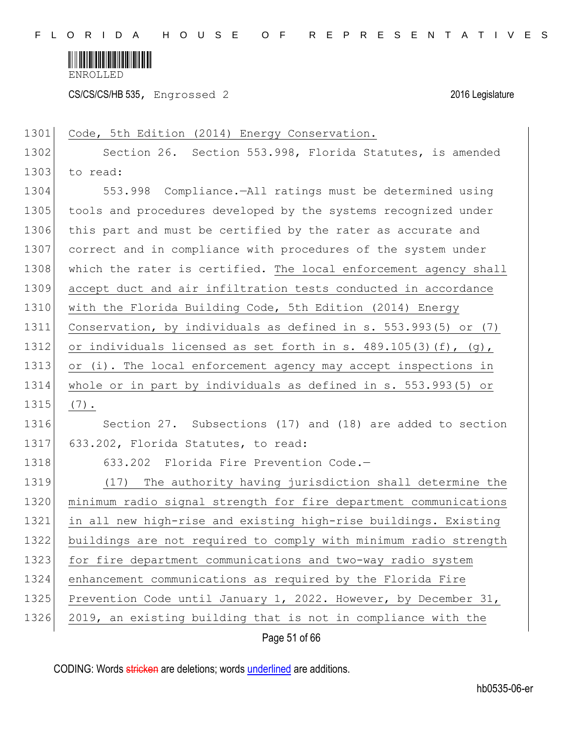

CS/CS/CS/HB 535, Engrossed 2 2016 Legislature

| 1301 | Code, 5th Edition (2014) Energy Conservation.                    |
|------|------------------------------------------------------------------|
| 1302 | Section 26. Section 553.998, Florida Statutes, is amended        |
| 1303 | to read:                                                         |
| 1304 | 553.998 Compliance.-All ratings must be determined using         |
| 1305 | tools and procedures developed by the systems recognized under   |
| 1306 | this part and must be certified by the rater as accurate and     |
| 1307 | correct and in compliance with procedures of the system under    |
| 1308 | which the rater is certified. The local enforcement agency shall |
| 1309 | accept duct and air infiltration tests conducted in accordance   |
| 1310 | with the Florida Building Code, 5th Edition (2014) Energy        |
| 1311 | Conservation, by individuals as defined in s. 553.993(5) or (7)  |
| 1312 | or individuals licensed as set forth in s. 489.105(3)(f), (g),   |
| 1313 | or (i). The local enforcement agency may accept inspections in   |
| 1314 | whole or in part by individuals as defined in s. 553.993(5) or   |
| 1315 | $(7)$ .                                                          |
| 1316 | Section 27. Subsections (17) and (18) are added to section       |
| 1317 | 633.202, Florida Statutes, to read:                              |
| 1318 | 633.202 Florida Fire Prevention Code.-                           |
| 1319 | (17) The authority having jurisdiction shall determine the       |
| 1320 | minimum radio signal strength for fire department communications |
| 1321 | in all new high-rise and existing high-rise buildings. Existing  |
| 1322 | buildings are not required to comply with minimum radio strength |
| 1323 | for fire department communications and two-way radio system      |
| 1324 | enhancement communications as required by the Florida Fire       |
| 1325 | Prevention Code until January 1, 2022. However, by December 31,  |
| 1326 | 2019, an existing building that is not in compliance with the    |
|      |                                                                  |

Page 51 of 66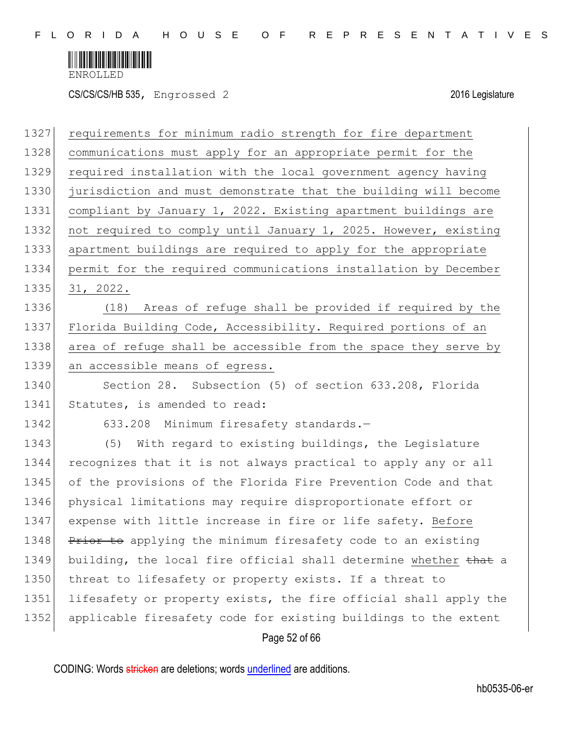

CS/CS/CS/HB 535, Engrossed 2 2016 Legislature

| 1327 | requirements for minimum radio strength for fire department      |
|------|------------------------------------------------------------------|
| 1328 | communications must apply for an appropriate permit for the      |
| 1329 | required installation with the local government agency having    |
| 1330 | jurisdiction and must demonstrate that the building will become  |
| 1331 | compliant by January 1, 2022. Existing apartment buildings are   |
| 1332 | not required to comply until January 1, 2025. However, existing  |
| 1333 | apartment buildings are required to apply for the appropriate    |
| 1334 | permit for the required communications installation by December  |
| 1335 | 31, 2022.                                                        |
| 1336 | Areas of refuge shall be provided if required by the<br>(18)     |
| 1337 | Florida Building Code, Accessibility. Required portions of an    |
| 1338 | area of refuge shall be accessible from the space they serve by  |
| 1339 | an accessible means of egress.                                   |
| 1340 | Section 28. Subsection (5) of section 633.208, Florida           |
| 1341 | Statutes, is amended to read:                                    |
| 1342 | 633.208 Minimum firesafety standards.-                           |
| 1343 | With regard to existing buildings, the Legislature<br>(5)        |
| 1344 | recognizes that it is not always practical to apply any or all   |
| 1345 | of the provisions of the Florida Fire Prevention Code and that   |
| 1346 | physical limitations may require disproportionate effort or      |
| 1347 | expense with little increase in fire or life safety. Before      |
| 1348 | Prior to applying the minimum firesafety code to an existing     |
| 1349 | building, the local fire official shall determine whether that a |
| 1350 | threat to lifesafety or property exists. If a threat to          |
| 1351 | lifesafety or property exists, the fire official shall apply the |
| 1352 | applicable firesafety code for existing buildings to the extent  |
|      | Page 52 of 66                                                    |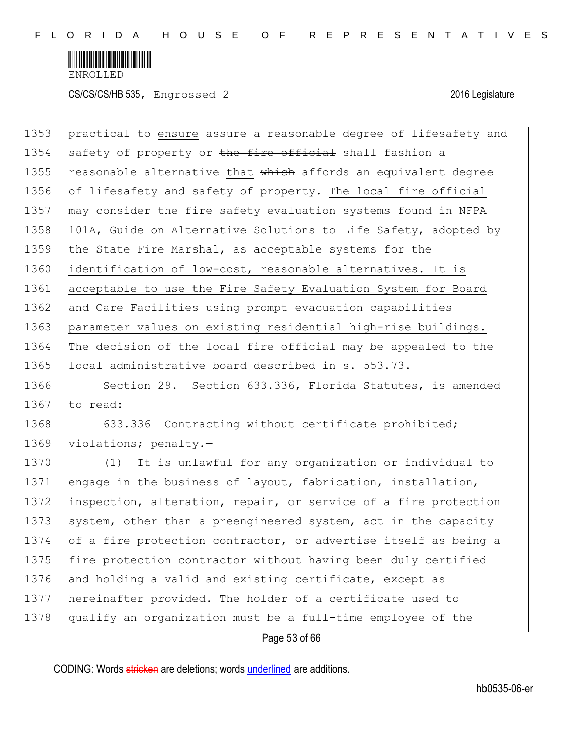

| 1353 | practical to ensure assure a reasonable degree of lifesafety and |
|------|------------------------------------------------------------------|
| 1354 | safety of property or the fire official shall fashion a          |
| 1355 | reasonable alternative that which affords an equivalent degree   |
| 1356 | of lifesafety and safety of property. The local fire official    |
| 1357 | may consider the fire safety evaluation systems found in NFPA    |
| 1358 | 101A, Guide on Alternative Solutions to Life Safety, adopted by  |
| 1359 | the State Fire Marshal, as acceptable systems for the            |
| 1360 | identification of low-cost, reasonable alternatives. It is       |
| 1361 | acceptable to use the Fire Safety Evaluation System for Board    |
| 1362 | and Care Facilities using prompt evacuation capabilities         |
| 1363 | parameter values on existing residential high-rise buildings.    |
| 1364 | The decision of the local fire official may be appealed to the   |
| 1365 | local administrative board described in s. 553.73.               |
| 1366 | Section 29. Section 633.336, Florida Statutes, is amended        |
| 1367 | to read:                                                         |
| 1368 | 633.336 Contracting without certificate prohibited;              |
| 1369 | violations; penalty.-                                            |
| 1370 | It is unlawful for any organization or individual to<br>(1)      |
| 1371 | engage in the business of layout, fabrication, installation,     |
| 1372 | inspection, alteration, repair, or service of a fire protection  |
| 1373 | system, other than a preengineered system, act in the capacity   |
| 1374 | of a fire protection contractor, or advertise itself as being a  |
| 1375 | fire protection contractor without having been duly certified    |
| 1376 | and holding a valid and existing certificate, except as          |
| 1377 | hereinafter provided. The holder of a certificate used to        |
| 1378 | qualify an organization must be a full-time employee of the      |
|      | Page 53 of 66                                                    |
|      |                                                                  |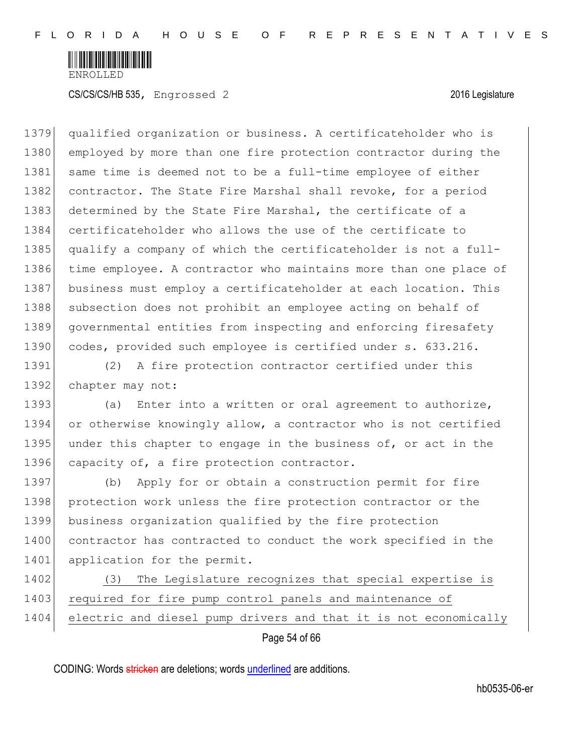

1379 qualified organization or business. A certificateholder who is 1380 employed by more than one fire protection contractor during the 1381 same time is deemed not to be a full-time employee of either 1382 contractor. The State Fire Marshal shall revoke, for a period 1383 determined by the State Fire Marshal, the certificate of a 1384 certificateholder who allows the use of the certificate to 1385 qualify a company of which the certificateholder is not a full-1386 time employee. A contractor who maintains more than one place of 1387 business must employ a certificateholder at each location. This 1388 subsection does not prohibit an employee acting on behalf of 1389 governmental entities from inspecting and enforcing firesafety 1390 codes, provided such employee is certified under s. 633.216.

1391 (2) A fire protection contractor certified under this 1392 chapter may not:

1393 (a) Enter into a written or oral agreement to authorize, 1394 or otherwise knowingly allow, a contractor who is not certified 1395 under this chapter to engage in the business of, or act in the 1396 capacity of, a fire protection contractor.

1397 (b) Apply for or obtain a construction permit for fire 1398 protection work unless the fire protection contractor or the 1399 business organization qualified by the fire protection 1400 contractor has contracted to conduct the work specified in the 1401 application for the permit.

1402 (3) The Legislature recognizes that special expertise is 1403 required for fire pump control panels and maintenance of 1404 electric and diesel pump drivers and that it is not economically

Page 54 of 66

CODING: Words stricken are deletions; words underlined are additions.

hb0535-06-er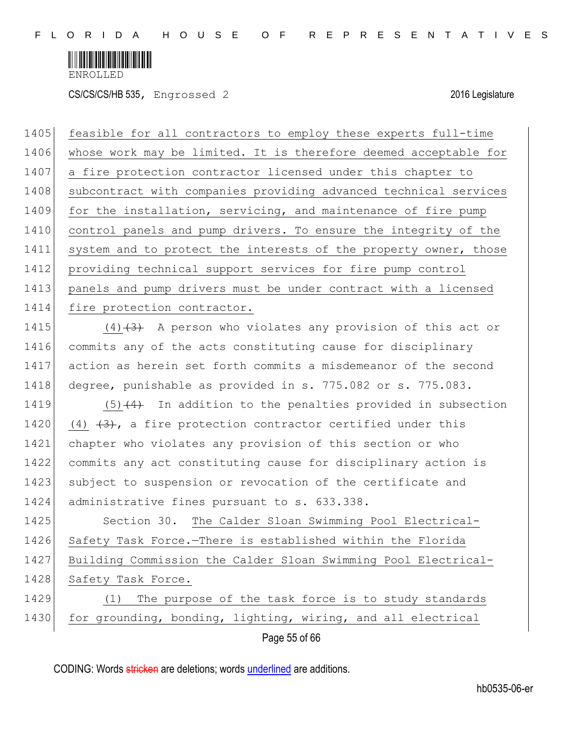

CS/CS/CS/HB 535, Engrossed 2 2016 Legislature

| 1405 | feasible for all contractors to employ these experts full-time   |
|------|------------------------------------------------------------------|
| 1406 | whose work may be limited. It is therefore deemed acceptable for |
| 1407 | a fire protection contractor licensed under this chapter to      |
| 1408 | subcontract with companies providing advanced technical services |
| 1409 | for the installation, servicing, and maintenance of fire pump    |
| 1410 | control panels and pump drivers. To ensure the integrity of the  |
| 1411 | system and to protect the interests of the property owner, those |
| 1412 | providing technical support services for fire pump control       |
| 1413 | panels and pump drivers must be under contract with a licensed   |
| 1414 | fire protection contractor.                                      |
| 1415 | $(4)$ +3+ A person who violates any provision of this act or     |
| 1416 | commits any of the acts constituting cause for disciplinary      |
| 1417 | action as herein set forth commits a misdemeanor of the second   |
| 1418 | degree, punishable as provided in s. 775.082 or s. 775.083.      |
| 1419 | $(5)$ $(4)$ In addition to the penalties provided in subsection  |
| 1420 | (4) $(4)$ , a fire protection contractor certified under this    |
| 1421 | chapter who violates any provision of this section or who        |
| 1422 | commits any act constituting cause for disciplinary action is    |
| 1423 | subject to suspension or revocation of the certificate and       |
| 1424 | administrative fines pursuant to s. 633.338.                     |
| 1425 | Section 30. The Calder Sloan Swimming Pool Electrical-           |
| 1426 | Safety Task Force.-There is established within the Florida       |
| 1427 | Building Commission the Calder Sloan Swimming Pool Electrical-   |
| 1428 | Safety Task Force.                                               |
| 1429 | The purpose of the task force is to study standards<br>(1)       |
| 1430 | for grounding, bonding, lighting, wiring, and all electrical     |
|      | Page 55 of 66                                                    |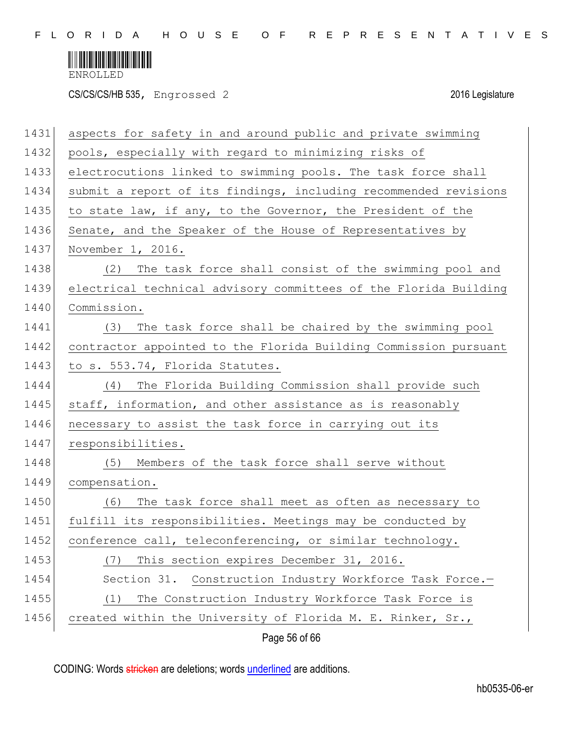

CS/CS/CS/HB 535, Engrossed 2 2016 Legislature

| 1431 | aspects for safety in and around public and private swimming     |
|------|------------------------------------------------------------------|
| 1432 | pools, especially with regard to minimizing risks of             |
| 1433 | electrocutions linked to swimming pools. The task force shall    |
| 1434 | submit a report of its findings, including recommended revisions |
| 1435 | to state law, if any, to the Governor, the President of the      |
| 1436 | Senate, and the Speaker of the House of Representatives by       |
| 1437 | November 1, 2016.                                                |
| 1438 | The task force shall consist of the swimming pool and<br>(2)     |
| 1439 | electrical technical advisory committees of the Florida Building |
| 1440 | Commission.                                                      |
| 1441 | The task force shall be chaired by the swimming pool<br>(3)      |
| 1442 | contractor appointed to the Florida Building Commission pursuant |
| 1443 | to s. 553.74, Florida Statutes.                                  |
| 1444 | The Florida Building Commission shall provide such<br>(4)        |
| 1445 | staff, information, and other assistance as is reasonably        |
| 1446 | necessary to assist the task force in carrying out its           |
| 1447 | responsibilities.                                                |
| 1448 | (5)<br>Members of the task force shall serve without             |
| 1449 | compensation.                                                    |
| 1450 | The task force shall meet as often as necessary to<br>(6)        |
| 1451 | fulfill its responsibilities. Meetings may be conducted by       |
| 1452 | conference call, teleconferencing, or similar technology.        |
| 1453 | This section expires December 31, 2016.<br>(7)                   |
| 1454 | Section 31.<br>Construction Industry Workforce Task Force.-      |
| 1455 | The Construction Industry Workforce Task Force is<br>(1)         |
| 1456 | created within the University of Florida M. E. Rinker, Sr.,      |
|      | Page 56 of 66                                                    |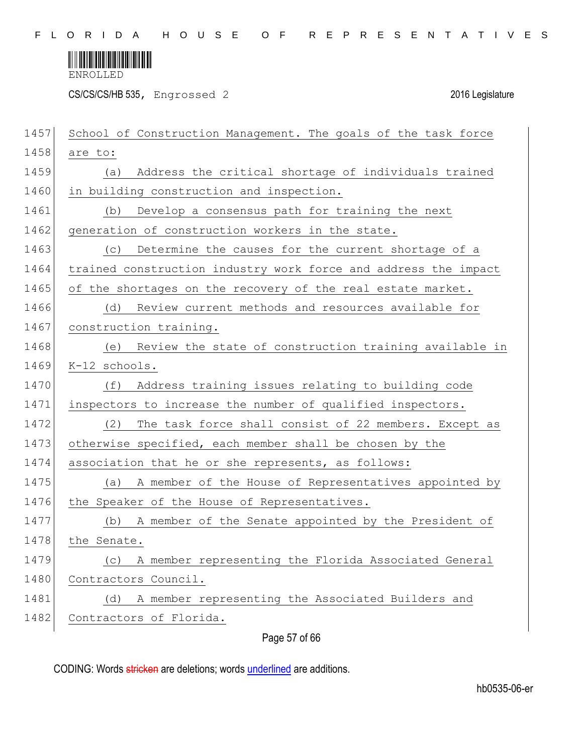

CS/CS/CS/HB 535, Engrossed 2 2016 Legislature

| 1457 | School of Construction Management. The goals of the task force  |
|------|-----------------------------------------------------------------|
| 1458 | are to:                                                         |
| 1459 | Address the critical shortage of individuals trained<br>(a)     |
| 1460 | in building construction and inspection.                        |
| 1461 | Develop a consensus path for training the next<br>(b)           |
| 1462 | generation of construction workers in the state.                |
| 1463 | Determine the causes for the current shortage of a<br>(C)       |
| 1464 | trained construction industry work force and address the impact |
| 1465 | of the shortages on the recovery of the real estate market.     |
| 1466 | (d)<br>Review current methods and resources available for       |
| 1467 | construction training.                                          |
| 1468 | Review the state of construction training available in<br>(e)   |
| 1469 | K-12 schools.                                                   |
| 1470 | Address training issues relating to building code<br>(f)        |
| 1471 | inspectors to increase the number of qualified inspectors.      |
| 1472 | (2)<br>The task force shall consist of 22 members. Except as    |
| 1473 | otherwise specified, each member shall be chosen by the         |
| 1474 | association that he or she represents, as follows:              |
| 1475 | A member of the House of Representatives appointed by<br>(a)    |
| 1476 | the Speaker of the House of Representatives.                    |
| 1477 | A member of the Senate appointed by the President of<br>(b)     |
| 1478 | the Senate.                                                     |
| 1479 | A member representing the Florida Associated General<br>(C)     |
| 1480 | Contractors Council.                                            |
| 1481 | A member representing the Associated Builders and<br>(d)        |
| 1482 | Contractors of Florida.                                         |
|      |                                                                 |

## Page 57 of 66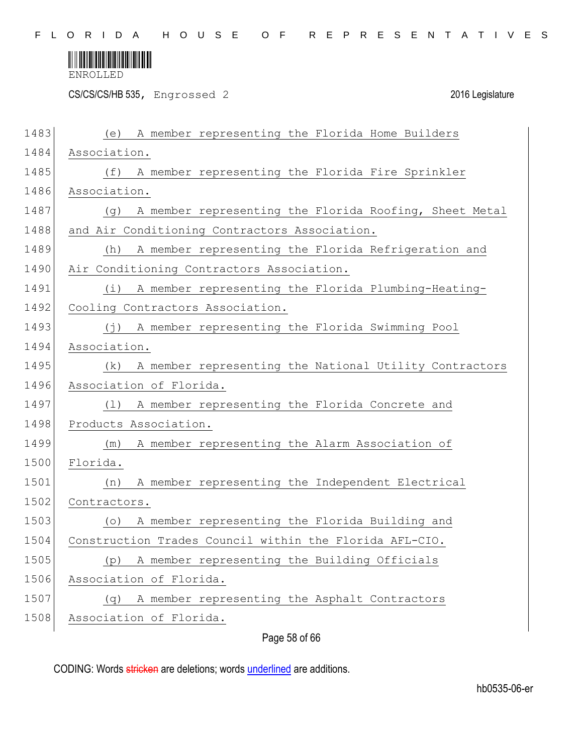

CS/CS/CS/HB 535, Engrossed 2 2016 Legislature

| 1483 | A member representing the Florida Home Builders<br>(e)                 |
|------|------------------------------------------------------------------------|
| 1484 | Association.                                                           |
| 1485 | A member representing the Florida Fire Sprinkler<br>(f)                |
| 1486 | Association.                                                           |
| 1487 | A member representing the Florida Roofing, Sheet Metal<br>(q)          |
| 1488 | and Air Conditioning Contractors Association.                          |
| 1489 | A member representing the Florida Refrigeration and<br>(h)             |
| 1490 | Air Conditioning Contractors Association.                              |
| 1491 | A member representing the Florida Plumbing-Heating-<br>$(\dot{\perp})$ |
| 1492 | Cooling Contractors Association.                                       |
| 1493 | A member representing the Florida Swimming Pool<br>(j)                 |
| 1494 | Association.                                                           |
| 1495 | A member representing the National Utility Contractors<br>(k)          |
| 1496 | Association of Florida.                                                |
| 1497 | A member representing the Florida Concrete and<br>(1)                  |
| 1498 | Products Association.                                                  |
| 1499 | A member representing the Alarm Association of<br>(m)                  |
| 1500 | Florida.                                                               |
| 1501 | A member representing the Independent Electrical<br>(n)                |
| 1502 | Contractors.                                                           |
| 1503 | A member representing the Florida Building and<br>(0)                  |
| 1504 | Construction Trades Council within the Florida AFL-CIO.                |
| 1505 | A member representing the Building Officials<br>(p)                    |
| 1506 | Association of Florida.                                                |
| 1507 | A member representing the Asphalt Contractors<br>(q)                   |
| 1508 | Association of Florida.                                                |
|      | Page 58 of 66                                                          |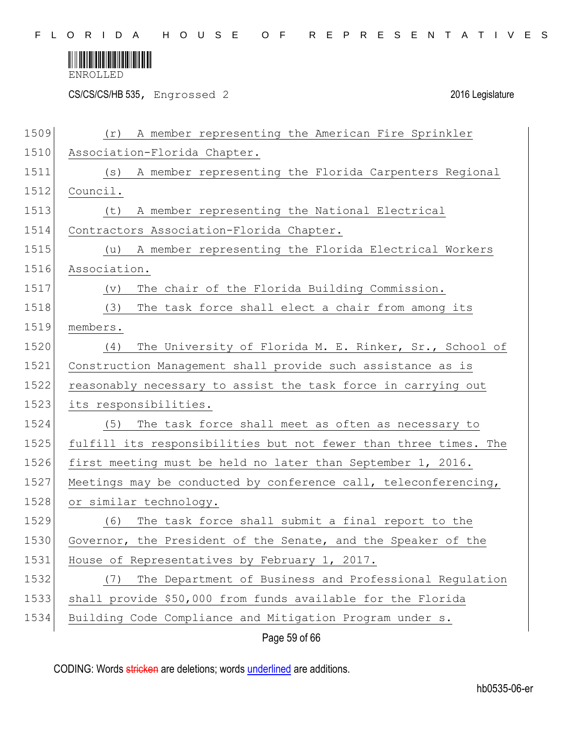

CS/CS/CS/HB 535, Engrossed 2 2016 Legislature

| 1509 | A member representing the American Fire Sprinkler<br>(r)         |
|------|------------------------------------------------------------------|
| 1510 | Association-Florida Chapter.                                     |
| 1511 | A member representing the Florida Carpenters Regional<br>(s)     |
| 1512 | Council.                                                         |
| 1513 | A member representing the National Electrical<br>(t)             |
| 1514 | Contractors Association-Florida Chapter.                         |
| 1515 | A member representing the Florida Electrical Workers<br>(u)      |
| 1516 | Association.                                                     |
| 1517 | The chair of the Florida Building Commission.<br>(v)             |
| 1518 | (3)<br>The task force shall elect a chair from among its         |
| 1519 | members.                                                         |
| 1520 | The University of Florida M. E. Rinker, Sr., School of<br>(4)    |
| 1521 | Construction Management shall provide such assistance as is      |
| 1522 | reasonably necessary to assist the task force in carrying out    |
| 1523 | its responsibilities.                                            |
| 1524 | (5) The task force shall meet as often as necessary to           |
| 1525 | fulfill its responsibilities but not fewer than three times. The |
| 1526 | first meeting must be held no later than September 1, 2016.      |
| 1527 | Meetings may be conducted by conference call, teleconferencing,  |
| 1528 | or similar technology.                                           |
| 1529 | The task force shall submit a final report to the<br>(6)         |
| 1530 | Governor, the President of the Senate, and the Speaker of the    |
| 1531 | House of Representatives by February 1, 2017.                    |
| 1532 | The Department of Business and Professional Regulation<br>(7)    |
| 1533 | shall provide \$50,000 from funds available for the Florida      |
| 1534 | Building Code Compliance and Mitigation Program under s.         |
|      | Page 59 of 66                                                    |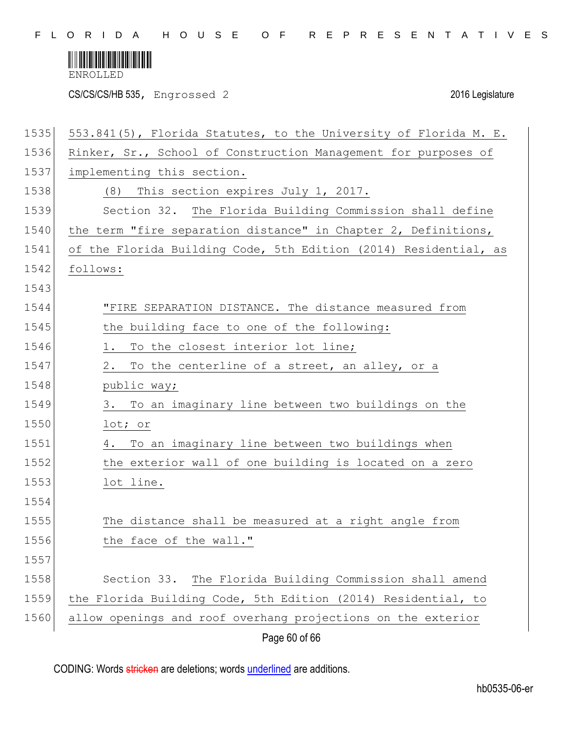

CS/CS/CS/HB 535, Engrossed 2 2016 Legislature

| 1535 | 553.841(5), Florida Statutes, to the University of Florida M. E. |
|------|------------------------------------------------------------------|
| 1536 | Rinker, Sr., School of Construction Management for purposes of   |
| 1537 | implementing this section.                                       |
| 1538 | This section expires July 1, 2017.<br>(8)                        |
| 1539 | Section 32. The Florida Building Commission shall define         |
| 1540 | the term "fire separation distance" in Chapter 2, Definitions,   |
| 1541 | of the Florida Building Code, 5th Edition (2014) Residential, as |
| 1542 | follows:                                                         |
| 1543 |                                                                  |
| 1544 | "FIRE SEPARATION DISTANCE. The distance measured from            |
| 1545 | the building face to one of the following:                       |
| 1546 | To the closest interior lot line;<br>1.                          |
| 1547 | 2.<br>To the centerline of a street, an alley, or a              |
| 1548 | public way;                                                      |
| 1549 | To an imaginary line between two buildings on the<br>3.          |
| 1550 | lot; or                                                          |
| 1551 | To an imaginary line between two buildings when<br>4.            |
| 1552 | the exterior wall of one building is located on a zero           |
| 1553 | lot line.                                                        |
| 1554 |                                                                  |
| 1555 | The distance shall be measured at a right angle from             |
| 1556 | the face of the wall."                                           |
| 1557 |                                                                  |
| 1558 | The Florida Building Commission shall amend<br>Section 33.       |
| 1559 | the Florida Building Code, 5th Edition (2014) Residential, to    |
| 1560 | allow openings and roof overhang projections on the exterior     |
|      | Page 60 of 66                                                    |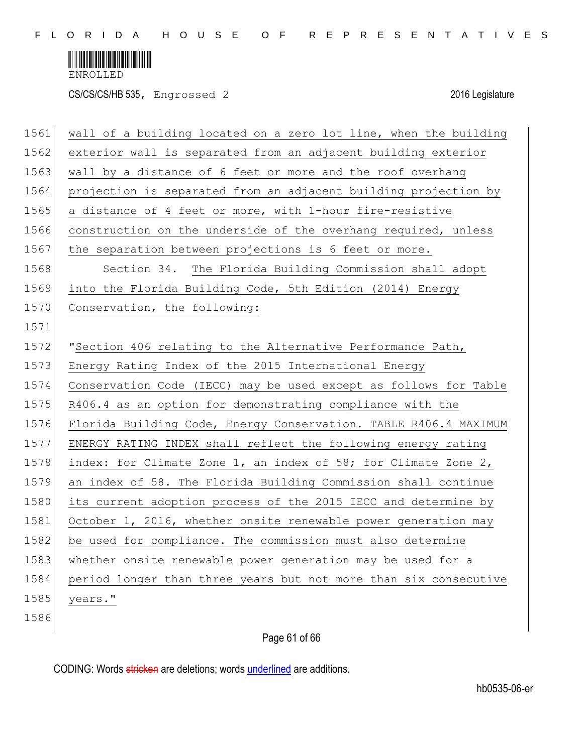

CS/CS/CS/HB 535, Engrossed 2 2016 Legislature

| 1561 | wall of a building located on a zero lot line, when the building |
|------|------------------------------------------------------------------|
| 1562 | exterior wall is separated from an adjacent building exterior    |
| 1563 | wall by a distance of 6 feet or more and the roof overhang       |
| 1564 | projection is separated from an adjacent building projection by  |
| 1565 | a distance of 4 feet or more, with 1-hour fire-resistive         |
| 1566 | construction on the underside of the overhang required, unless   |
| 1567 | the separation between projections is 6 feet or more.            |
| 1568 | Section 34. The Florida Building Commission shall adopt          |
| 1569 | into the Florida Building Code, 5th Edition (2014) Energy        |
| 1570 | Conservation, the following:                                     |
| 1571 |                                                                  |
| 1572 | "Section 406 relating to the Alternative Performance Path,       |
| 1573 | Energy Rating Index of the 2015 International Energy             |
| 1574 | Conservation Code (IECC) may be used except as follows for Table |
| 1575 | R406.4 as an option for demonstrating compliance with the        |
| 1576 | Florida Building Code, Energy Conservation. TABLE R406.4 MAXIMUM |
| 1577 | ENERGY RATING INDEX shall reflect the following energy rating    |
| 1578 | index: for Climate Zone 1, an index of 58; for Climate Zone 2,   |
| 1579 | an index of 58. The Florida Building Commission shall continue   |
| 1580 | its current adoption process of the 2015 IECC and determine by   |
| 1581 | October 1, 2016, whether onsite renewable power generation may   |
| 1582 | be used for compliance. The commission must also determine       |
| 1583 | whether onsite renewable power generation may be used for a      |
| 1584 | period longer than three years but not more than six consecutive |
| 1585 | years."                                                          |
| 1586 |                                                                  |

# Page 61 of 66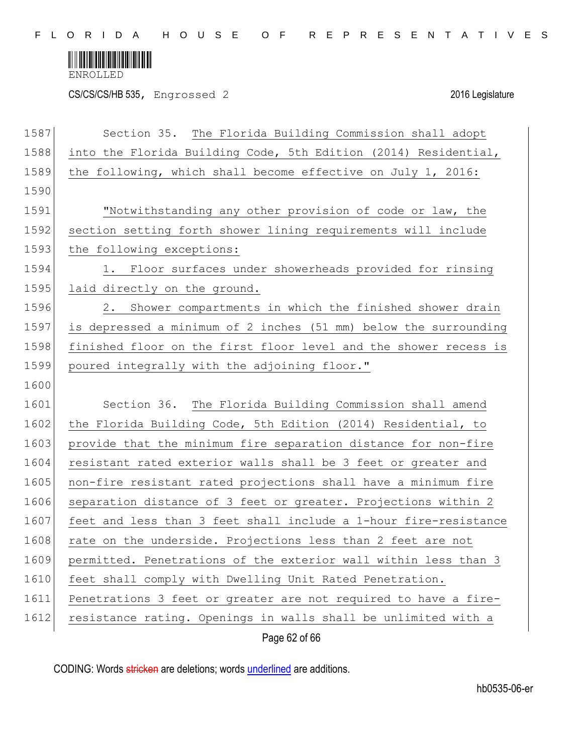

CS/CS/CS/HB 535, Engrossed 2 2016 Legislature

| 1587 | Section 35. The Florida Building Commission shall adopt          |
|------|------------------------------------------------------------------|
| 1588 | into the Florida Building Code, 5th Edition (2014) Residential,  |
| 1589 | the following, which shall become effective on July 1, 2016:     |
| 1590 |                                                                  |
| 1591 | "Notwithstanding any other provision of code or law, the         |
| 1592 | section setting forth shower lining requirements will include    |
| 1593 | the following exceptions:                                        |
| 1594 | 1. Floor surfaces under showerheads provided for rinsing         |
| 1595 | laid directly on the ground.                                     |
| 1596 | 2. Shower compartments in which the finished shower drain        |
| 1597 | is depressed a minimum of 2 inches (51 mm) below the surrounding |
| 1598 | finished floor on the first floor level and the shower recess is |
| 1599 | poured integrally with the adjoining floor."                     |
| 1600 |                                                                  |
| 1601 | Section 36. The Florida Building Commission shall amend          |
| 1602 | the Florida Building Code, 5th Edition (2014) Residential, to    |
| 1603 | provide that the minimum fire separation distance for non-fire   |
| 1604 | resistant rated exterior walls shall be 3 feet or greater and    |
| 1605 | non-fire resistant rated projections shall have a minimum fire   |
| 1606 | separation distance of 3 feet or greater. Projections within 2   |
| 1607 | feet and less than 3 feet shall include a 1-hour fire-resistance |
| 1608 | rate on the underside. Projections less than 2 feet are not      |
| 1609 | permitted. Penetrations of the exterior wall within less than 3  |
| 1610 | feet shall comply with Dwelling Unit Rated Penetration.          |
| 1611 | Penetrations 3 feet or greater are not required to have a fire-  |
| 1612 | resistance rating. Openings in walls shall be unlimited with a   |
|      | Page 62 of 66                                                    |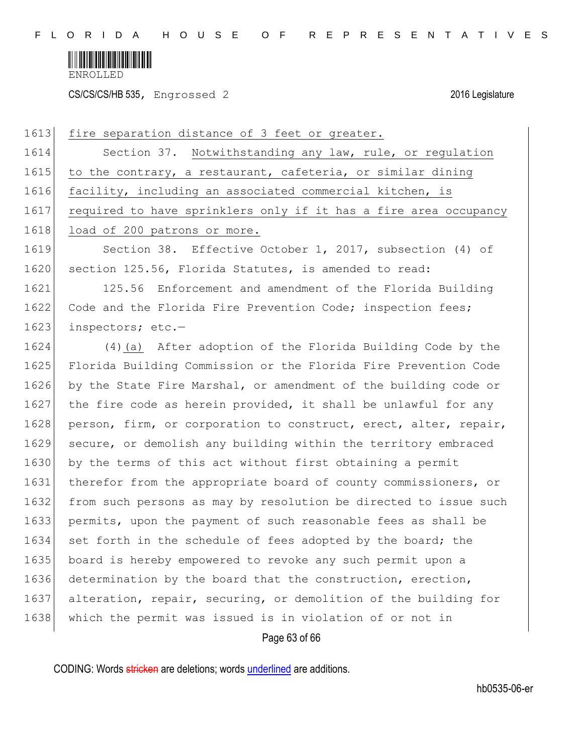

CS/CS/CS/HB 535, Engrossed 2 2016 Legislature

| 1613 | fire separation distance of 3 feet or greater.                   |
|------|------------------------------------------------------------------|
| 1614 | Section 37. Notwithstanding any law, rule, or regulation         |
| 1615 | to the contrary, a restaurant, cafeteria, or similar dining      |
| 1616 | facility, including an associated commercial kitchen, is         |
| 1617 | required to have sprinklers only if it has a fire area occupancy |
| 1618 | load of 200 patrons or more.                                     |
| 1619 | Section 38. Effective October 1, 2017, subsection (4) of         |
| 1620 | section 125.56, Florida Statutes, is amended to read:            |
| 1621 | 125.56<br>Enforcement and amendment of the Florida Building      |
| 1622 | Code and the Florida Fire Prevention Code; inspection fees;      |
| 1623 | inspectors; etc.-                                                |
| 1624 | (4) (a) After adoption of the Florida Building Code by the       |
| 1625 | Florida Building Commission or the Florida Fire Prevention Code  |
| 1626 | by the State Fire Marshal, or amendment of the building code or  |
| 1627 | the fire code as herein provided, it shall be unlawful for any   |
| 1628 | person, firm, or corporation to construct, erect, alter, repair, |
| 1629 | secure, or demolish any building within the territory embraced   |
| 1630 | by the terms of this act without first obtaining a permit        |
| 1631 | therefor from the appropriate board of county commissioners, or  |
| 1632 | from such persons as may by resolution be directed to issue such |
| 1633 | permits, upon the payment of such reasonable fees as shall be    |
| 1634 | set forth in the schedule of fees adopted by the board; the      |
| 1635 | board is hereby empowered to revoke any such permit upon a       |
| 1636 | determination by the board that the construction, erection,      |
| 1637 | alteration, repair, securing, or demolition of the building for  |
| 1638 | which the permit was issued is in violation of or not in         |
|      | Page 63 of 66                                                    |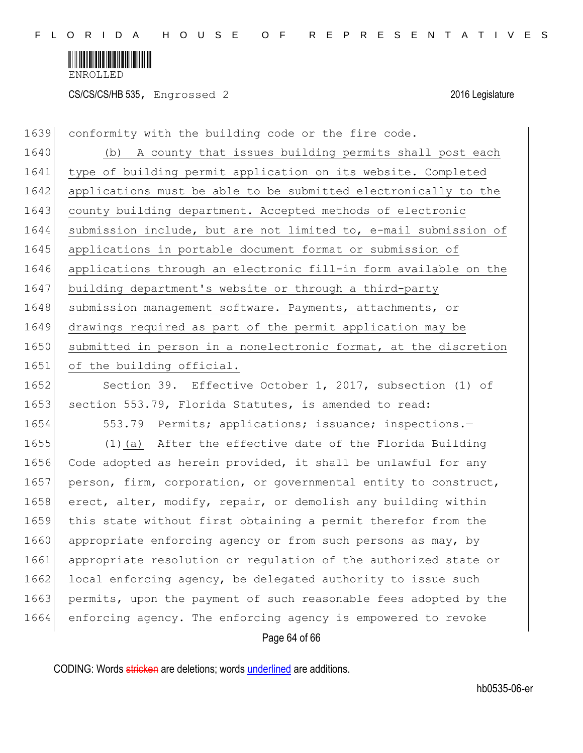

CS/CS/CS/HB 535, Engrossed 2 2016 Legislature

1639 conformity with the building code or the fire code. 1640 (b) A county that issues building permits shall post each 1641 type of building permit application on its website. Completed 1642 applications must be able to be submitted electronically to the 1643 county building department. Accepted methods of electronic 1644 submission include, but are not limited to, e-mail submission of 1645 applications in portable document format or submission of 1646 applications through an electronic fill-in form available on the 1647 building department's website or through a third-party 1648 submission management software. Payments, attachments, or 1649 drawings required as part of the permit application may be 1650 submitted in person in a nonelectronic format, at the discretion 1651 of the building official.

1652 Section 39. Effective October 1, 2017, subsection (1) of 1653 section 553.79, Florida Statutes, is amended to read:

1654 553.79 Permits; applications; issuance; inspections.

1655 (1)(a) After the effective date of the Florida Building 1656 Code adopted as herein provided, it shall be unlawful for any 1657 person, firm, corporation, or governmental entity to construct, 1658 erect, alter, modify, repair, or demolish any building within 1659 this state without first obtaining a permit therefor from the 1660 appropriate enforcing agency or from such persons as may, by 1661 appropriate resolution or regulation of the authorized state or 1662 local enforcing agency, be delegated authority to issue such 1663 permits, upon the payment of such reasonable fees adopted by the 1664 enforcing agency. The enforcing agency is empowered to revoke

Page 64 of 66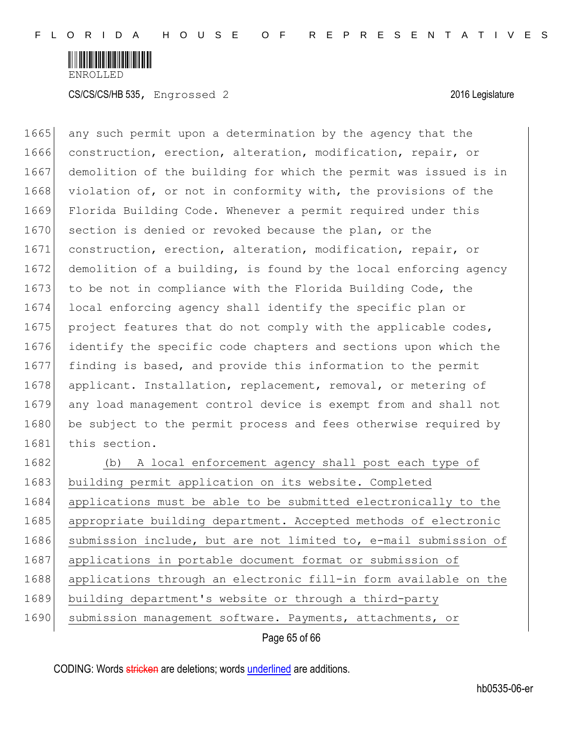

1665 any such permit upon a determination by the agency that the 1666 construction, erection, alteration, modification, repair, or 1667 demolition of the building for which the permit was issued is in 1668 violation of, or not in conformity with, the provisions of the 1669 Florida Building Code. Whenever a permit required under this 1670 section is denied or revoked because the plan, or the 1671 construction, erection, alteration, modification, repair, or 1672 demolition of a building, is found by the local enforcing agency 1673 to be not in compliance with the Florida Building Code, the 1674 local enforcing agency shall identify the specific plan or 1675 project features that do not comply with the applicable codes, 1676 identify the specific code chapters and sections upon which the 1677 finding is based, and provide this information to the permit 1678 applicant. Installation, replacement, removal, or metering of 1679 any load management control device is exempt from and shall not 1680 be subject to the permit process and fees otherwise required by 1681 this section. 1682 (b) A local enforcement agency shall post each type of 1683 building permit application on its website. Completed 1684 applications must be able to be submitted electronically to the 1685 appropriate building department. Accepted methods of electronic 1686 submission include, but are not limited to, e-mail submission of 1687 applications in portable document format or submission of

1688 applications through an electronic fill-in form available on the

- 1689 building department's website or through a third-party
- 1690 submission management software. Payments, attachments, or

Page 65 of 66